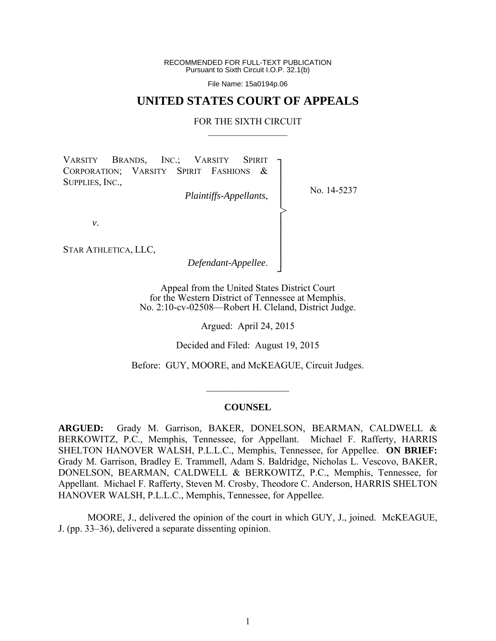RECOMMENDED FOR FULL-TEXT PUBLICATION Pursuant to Sixth Circuit I.O.P. 32.1(b)

File Name: 15a0194p.06

## **UNITED STATES COURT OF APPEALS**

#### FOR THE SIXTH CIRCUIT  $\mathcal{L}_\text{max}$

┐ │ │ │ │ │ │ │ │ │ ┘

>

VARSITY BRANDS, INC.; VARSITY SPIRIT CORPORATION; VARSITY SPIRIT FASHIONS & SUPPLIES, INC.,

*Plaintiffs-Appellants*,

No. 14-5237

*v*.

STAR ATHLETICA, LLC,

*Defendant-Appellee*.

Appeal from the United States District Court for the Western District of Tennessee at Memphis. No. 2:10-cv-02508—Robert H. Cleland, District Judge.

Argued: April 24, 2015

Decided and Filed: August 19, 2015

Before: GUY, MOORE, and McKEAGUE, Circuit Judges.

#### **COUNSEL**

 $\frac{1}{2}$ 

**ARGUED:** Grady M. Garrison, BAKER, DONELSON, BEARMAN, CALDWELL & BERKOWITZ, P.C., Memphis, Tennessee, for Appellant. Michael F. Rafferty, HARRIS SHELTON HANOVER WALSH, P.L.L.C., Memphis, Tennessee, for Appellee. **ON BRIEF:** Grady M. Garrison, Bradley E. Trammell, Adam S. Baldridge, Nicholas L. Vescovo, BAKER, DONELSON, BEARMAN, CALDWELL & BERKOWITZ, P.C., Memphis, Tennessee, for Appellant. Michael F. Rafferty, Steven M. Crosby, Theodore C. Anderson, HARRIS SHELTON HANOVER WALSH, P.L.L.C., Memphis, Tennessee, for Appellee.

 MOORE, J., delivered the opinion of the court in which GUY, J., joined. McKEAGUE, J. (pp. 33–36), delivered a separate dissenting opinion.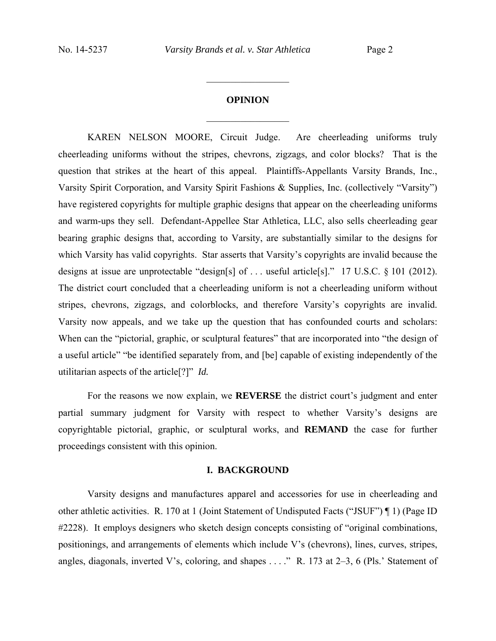# **OPINION**  $\frac{1}{2}$

 $\frac{1}{2}$ 

 KAREN NELSON MOORE, Circuit Judge. Are cheerleading uniforms truly cheerleading uniforms without the stripes, chevrons, zigzags, and color blocks? That is the question that strikes at the heart of this appeal. Plaintiffs-Appellants Varsity Brands, Inc., Varsity Spirit Corporation, and Varsity Spirit Fashions & Supplies, Inc. (collectively "Varsity") have registered copyrights for multiple graphic designs that appear on the cheerleading uniforms and warm-ups they sell. Defendant-Appellee Star Athletica, LLC, also sells cheerleading gear bearing graphic designs that, according to Varsity, are substantially similar to the designs for which Varsity has valid copyrights. Star asserts that Varsity's copyrights are invalid because the designs at issue are unprotectable "design[s] of . . . useful article[s]." 17 U.S.C. § 101 (2012). The district court concluded that a cheerleading uniform is not a cheerleading uniform without stripes, chevrons, zigzags, and colorblocks, and therefore Varsity's copyrights are invalid. Varsity now appeals, and we take up the question that has confounded courts and scholars: When can the "pictorial, graphic, or sculptural features" that are incorporated into "the design of a useful article" "be identified separately from, and [be] capable of existing independently of the utilitarian aspects of the article[?]" *Id.*

For the reasons we now explain, we **REVERSE** the district court's judgment and enter partial summary judgment for Varsity with respect to whether Varsity's designs are copyrightable pictorial, graphic, or sculptural works, and **REMAND** the case for further proceedings consistent with this opinion.

#### **I. BACKGROUND**

 Varsity designs and manufactures apparel and accessories for use in cheerleading and other athletic activities. R. 170 at 1 (Joint Statement of Undisputed Facts ("JSUF") ¶ 1) (Page ID #2228). It employs designers who sketch design concepts consisting of "original combinations, positionings, and arrangements of elements which include V's (chevrons), lines, curves, stripes, angles, diagonals, inverted V's, coloring, and shapes . . . ." R. 173 at 2–3, 6 (Pls.' Statement of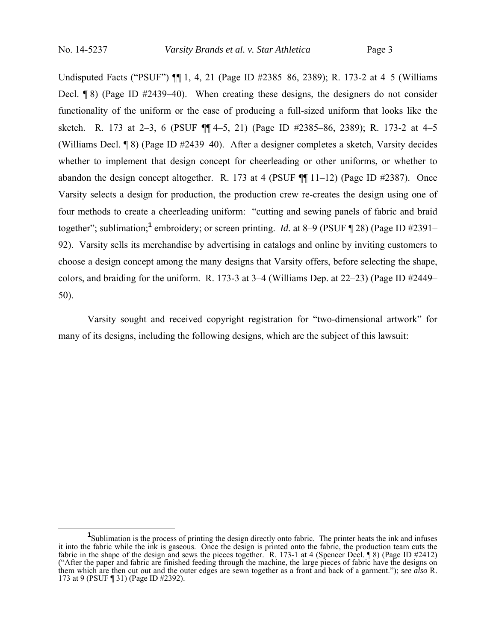Undisputed Facts ("PSUF") ¶¶ 1, 4, 21 (Page ID #2385–86, 2389); R. 173-2 at 4–5 (Williams Decl. ¶ 8) (Page ID #2439–40). When creating these designs, the designers do not consider functionality of the uniform or the ease of producing a full-sized uniform that looks like the sketch. R. 173 at 2–3, 6 (PSUF ¶¶ 4–5, 21) (Page ID #2385–86, 2389); R. 173-2 at 4–5 (Williams Decl. ¶ 8) (Page ID #2439–40). After a designer completes a sketch, Varsity decides whether to implement that design concept for cheerleading or other uniforms, or whether to abandon the design concept altogether. R. 173 at 4 (PSUF  $\P\P$  11–12) (Page ID #2387). Once Varsity selects a design for production, the production crew re-creates the design using one of four methods to create a cheerleading uniform: "cutting and sewing panels of fabric and braid together"; sublimation;<sup>1</sup> embroidery; or screen printing. *Id.* at 8–9 (PSUF ¶ 28) (Page ID #2391– 92). Varsity sells its merchandise by advertising in catalogs and online by inviting customers to choose a design concept among the many designs that Varsity offers, before selecting the shape, colors, and braiding for the uniform. R. 173-3 at 3–4 (Williams Dep. at 22–23) (Page ID #2449– 50).

Varsity sought and received copyright registration for "two-dimensional artwork" for many of its designs, including the following designs, which are the subject of this lawsuit:

<sup>&</sup>lt;sup>1</sup>
Sublimation is the process of printing the design directly onto fabric. The printer heats the ink and infuses it into the fabric while the ink is gaseous. Once the design is printed onto the fabric, the production team cuts the fabric in the shape of the design and sews the pieces together. R. 173-1 at 4 (Spencer Decl. ¶ 8) (Page ID #2412) ("After the paper and fabric are finished feeding through the machine, the large pieces of fabric have the designs on them which are then cut out and the outer edges are sewn together as a front and back of a garment."); *see also* R. 173 at 9 (PSUF ¶ 31) (Page ID #2392).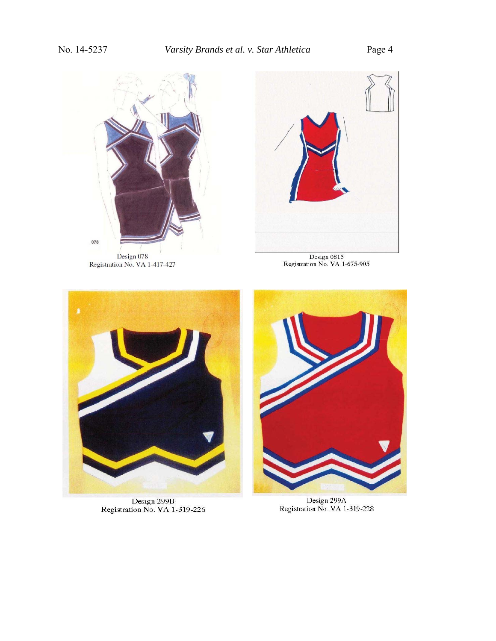



Design 0815<br>Registration No. VA 1-675-905



Design 299B<br>Registration No. VA 1-319-226



Design 299A<br>Registration No. VA 1-319-228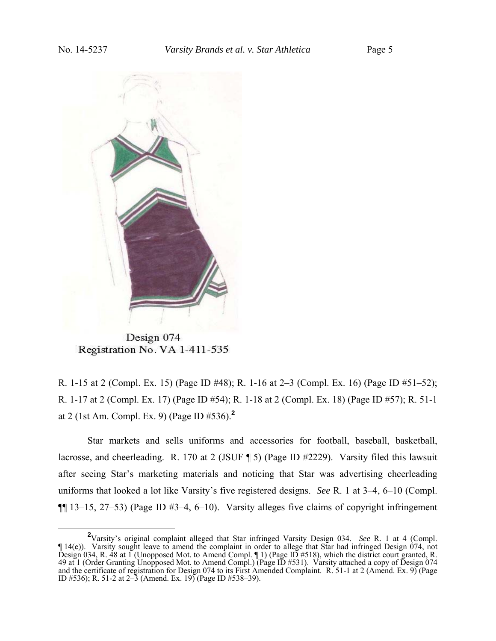

Design 074 Registration No. VA 1-411-535

R. 1-15 at 2 (Compl. Ex. 15) (Page ID #48); R. 1-16 at 2–3 (Compl. Ex. 16) (Page ID #51–52); R. 1-17 at 2 (Compl. Ex. 17) (Page ID #54); R. 1-18 at 2 (Compl. Ex. 18) (Page ID #57); R. 51-1 at 2 (1st Am. Compl. Ex. 9) (Page ID #536).**<sup>2</sup>**

Star markets and sells uniforms and accessories for football, baseball, basketball, lacrosse, and cheerleading. R. 170 at 2 (JSUF ¶ 5) (Page ID #2229). Varsity filed this lawsuit after seeing Star's marketing materials and noticing that Star was advertising cheerleading uniforms that looked a lot like Varsity's five registered designs. *See* R. 1 at 3–4, 6–10 (Compl.  $\P$ [13–15, 27–53) (Page ID #3–4, 6–10). Varsity alleges five claims of copyright infringement

**<sup>2</sup>** Varsity's original complaint alleged that Star infringed Varsity Design 034. *See* R. 1 at 4 (Compl. ¶ 14(e)). Varsity sought leave to amend the complaint in order to allege that Star had infringed Design 074, not Design 034, R. 48 at 1 (Unopposed Mot. to Amend Compl.  $\P$  1) (Page ID #518), which the district court granted, R. 49 at 1 (Order Granting Unopposed Mot. to Amend Compl.) (Page ID #531). Varsity attached a copy of Design 074 and the certificate of registration for Design 074 to its First Amended Complaint. R. 51-1 at 2 (Amend. Ex. 9) (Page ID #536); R. 51-2 at 2–3 (Amend. Ex. 19) (Page ID #538–39).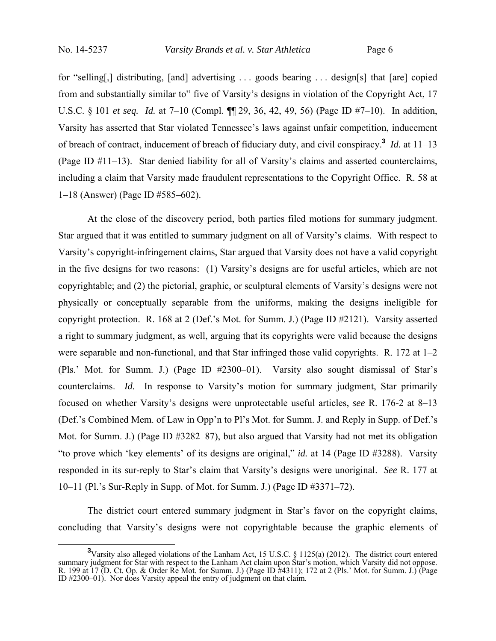for "selling[,] distributing, [and] advertising . . . goods bearing . . . design[s] that [are] copied from and substantially similar to" five of Varsity's designs in violation of the Copyright Act, 17 U.S.C. § 101 *et seq. Id.* at 7–10 (Compl. ¶¶ 29, 36, 42, 49, 56) (Page ID #7–10). In addition, Varsity has asserted that Star violated Tennessee's laws against unfair competition, inducement of breach of contract, inducement of breach of fiduciary duty, and civil conspiracy.**<sup>3</sup>** *Id.* at 11–13 (Page ID #11–13). Star denied liability for all of Varsity's claims and asserted counterclaims, including a claim that Varsity made fraudulent representations to the Copyright Office. R. 58 at 1–18 (Answer) (Page ID #585–602).

At the close of the discovery period, both parties filed motions for summary judgment. Star argued that it was entitled to summary judgment on all of Varsity's claims. With respect to Varsity's copyright-infringement claims, Star argued that Varsity does not have a valid copyright in the five designs for two reasons: (1) Varsity's designs are for useful articles, which are not copyrightable; and (2) the pictorial, graphic, or sculptural elements of Varsity's designs were not physically or conceptually separable from the uniforms, making the designs ineligible for copyright protection. R. 168 at 2 (Def.'s Mot. for Summ. J.) (Page ID #2121). Varsity asserted a right to summary judgment, as well, arguing that its copyrights were valid because the designs were separable and non-functional, and that Star infringed those valid copyrights. R. 172 at 1–2 (Pls.' Mot. for Summ. J.) (Page ID #2300–01). Varsity also sought dismissal of Star's counterclaims. *Id.* In response to Varsity's motion for summary judgment, Star primarily focused on whether Varsity's designs were unprotectable useful articles, *see* R. 176-2 at 8–13 (Def.'s Combined Mem. of Law in Opp'n to Pl's Mot. for Summ. J. and Reply in Supp. of Def.'s Mot. for Summ. J.) (Page ID #3282–87), but also argued that Varsity had not met its obligation "to prove which 'key elements' of its designs are original," *id.* at 14 (Page ID #3288). Varsity responded in its sur-reply to Star's claim that Varsity's designs were unoriginal. *See* R. 177 at 10–11 (Pl.'s Sur-Reply in Supp. of Mot. for Summ. J.) (Page ID #3371–72).

The district court entered summary judgment in Star's favor on the copyright claims, concluding that Varsity's designs were not copyrightable because the graphic elements of

**<sup>3</sup>**<br> **3** Varsity also alleged violations of the Lanham Act, 15 U.S.C. § 1125(a) (2012). The district court entered summary judgment for Star with respect to the Lanham Act claim upon Star's motion, which Varsity did not oppose. R. 199 at 17 (D. Ct. Op. & Order Re Mot. for Summ. J.) (Page ID #4311); 172 at 2 (Pls.' Mot. for Summ. J.) (Page ID #2300–01). Nor does Varsity appeal the entry of judgment on that claim.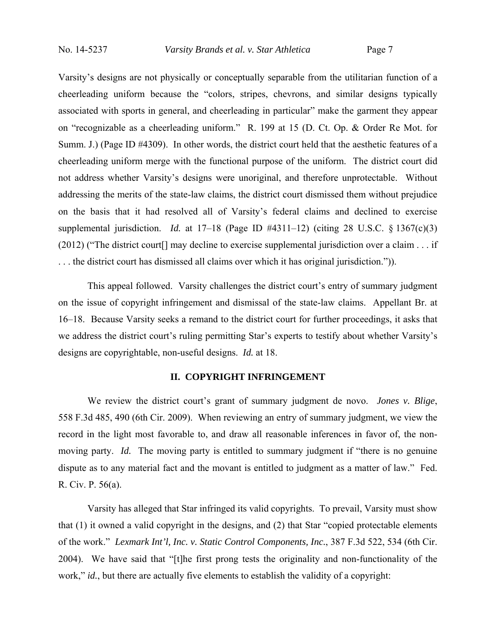Varsity's designs are not physically or conceptually separable from the utilitarian function of a cheerleading uniform because the "colors, stripes, chevrons, and similar designs typically associated with sports in general, and cheerleading in particular" make the garment they appear on "recognizable as a cheerleading uniform." R. 199 at 15 (D. Ct. Op. & Order Re Mot. for Summ. J.) (Page ID #4309). In other words, the district court held that the aesthetic features of a cheerleading uniform merge with the functional purpose of the uniform. The district court did not address whether Varsity's designs were unoriginal, and therefore unprotectable. Without addressing the merits of the state-law claims, the district court dismissed them without prejudice on the basis that it had resolved all of Varsity's federal claims and declined to exercise supplemental jurisdiction. *Id.* at  $17-18$  (Page ID #4311-12) (citing 28 U.S.C.  $\S$  1367(c)(3) (2012) ("The district court[] may decline to exercise supplemental jurisdiction over a claim . . . if . . . the district court has dismissed all claims over which it has original jurisdiction.")).

This appeal followed. Varsity challenges the district court's entry of summary judgment on the issue of copyright infringement and dismissal of the state-law claims. Appellant Br. at 16–18. Because Varsity seeks a remand to the district court for further proceedings, it asks that we address the district court's ruling permitting Star's experts to testify about whether Varsity's designs are copyrightable, non-useful designs. *Id.* at 18.

### **II. COPYRIGHT INFRINGEMENT**

 We review the district court's grant of summary judgment de novo. *Jones v. Blige*, 558 F.3d 485, 490 (6th Cir. 2009). When reviewing an entry of summary judgment, we view the record in the light most favorable to, and draw all reasonable inferences in favor of, the nonmoving party. *Id.* The moving party is entitled to summary judgment if "there is no genuine" dispute as to any material fact and the movant is entitled to judgment as a matter of law." Fed. R. Civ. P. 56(a).

Varsity has alleged that Star infringed its valid copyrights. To prevail, Varsity must show that (1) it owned a valid copyright in the designs, and (2) that Star "copied protectable elements of the work." *Lexmark Int'l, Inc. v. Static Control Components, Inc.*, 387 F.3d 522, 534 (6th Cir. 2004). We have said that "[t]he first prong tests the originality and non-functionality of the work," *id.*, but there are actually five elements to establish the validity of a copyright: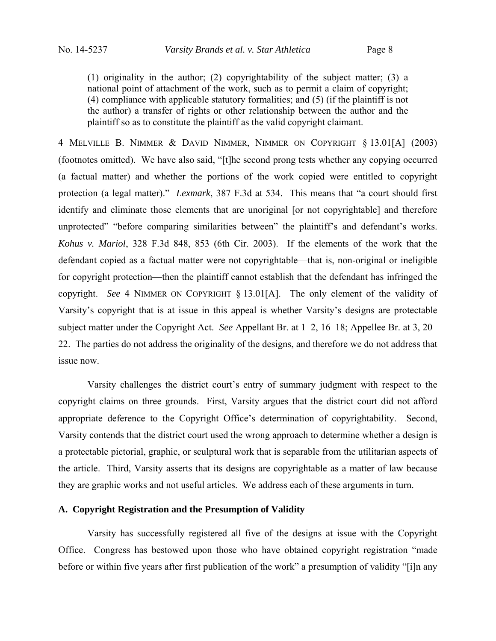(1) originality in the author; (2) copyrightability of the subject matter; (3) a national point of attachment of the work, such as to permit a claim of copyright; (4) compliance with applicable statutory formalities; and (5) (if the plaintiff is not the author) a transfer of rights or other relationship between the author and the plaintiff so as to constitute the plaintiff as the valid copyright claimant.

4 MELVILLE B. NIMMER & DAVID NIMMER, NIMMER ON COPYRIGHT § 13.01[A] (2003) (footnotes omitted). We have also said, "[t]he second prong tests whether any copying occurred (a factual matter) and whether the portions of the work copied were entitled to copyright protection (a legal matter)." *Lexmark*, 387 F.3d at 534. This means that "a court should first identify and eliminate those elements that are unoriginal [or not copyrightable] and therefore unprotected" "before comparing similarities between" the plaintiff's and defendant's works. *Kohus v. Mariol*, 328 F.3d 848, 853 (6th Cir. 2003). If the elements of the work that the defendant copied as a factual matter were not copyrightable—that is, non-original or ineligible for copyright protection—then the plaintiff cannot establish that the defendant has infringed the copyright. *See* 4 NIMMER ON COPYRIGHT § 13.01[A]. The only element of the validity of Varsity's copyright that is at issue in this appeal is whether Varsity's designs are protectable subject matter under the Copyright Act. *See* Appellant Br. at 1–2, 16–18; Appellee Br. at 3, 20– 22. The parties do not address the originality of the designs, and therefore we do not address that issue now.

 Varsity challenges the district court's entry of summary judgment with respect to the copyright claims on three grounds. First, Varsity argues that the district court did not afford appropriate deference to the Copyright Office's determination of copyrightability. Second, Varsity contends that the district court used the wrong approach to determine whether a design is a protectable pictorial, graphic, or sculptural work that is separable from the utilitarian aspects of the article. Third, Varsity asserts that its designs are copyrightable as a matter of law because they are graphic works and not useful articles. We address each of these arguments in turn.

## **A. Copyright Registration and the Presumption of Validity**

Varsity has successfully registered all five of the designs at issue with the Copyright Office. Congress has bestowed upon those who have obtained copyright registration "made before or within five years after first publication of the work" a presumption of validity "[i]n any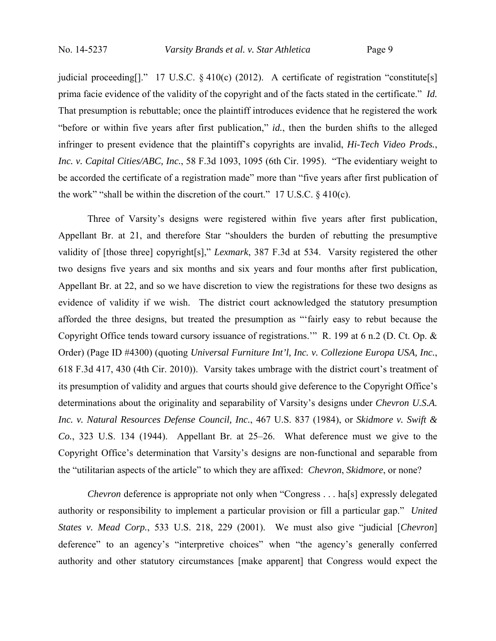judicial proceeding[]." 17 U.S.C. § 410(c) (2012). A certificate of registration "constitute[s] prima facie evidence of the validity of the copyright and of the facts stated in the certificate." *Id.* That presumption is rebuttable; once the plaintiff introduces evidence that he registered the work "before or within five years after first publication," *id.*, then the burden shifts to the alleged infringer to present evidence that the plaintiff's copyrights are invalid, *Hi-Tech Video Prods.*, *Inc. v. Capital Cities/ABC, Inc.*, 58 F.3d 1093, 1095 (6th Cir. 1995). "The evidentiary weight to be accorded the certificate of a registration made" more than "five years after first publication of the work" "shall be within the discretion of the court." 17 U.S.C.  $\frac{8}{10}$  410(c).

Three of Varsity's designs were registered within five years after first publication, Appellant Br. at 21, and therefore Star "shoulders the burden of rebutting the presumptive validity of [those three] copyright[s]," *Lexmark*, 387 F.3d at 534. Varsity registered the other two designs five years and six months and six years and four months after first publication, Appellant Br. at 22, and so we have discretion to view the registrations for these two designs as evidence of validity if we wish.The district court acknowledged the statutory presumption afforded the three designs, but treated the presumption as "'fairly easy to rebut because the Copyright Office tends toward cursory issuance of registrations.'" R. 199 at 6 n.2 (D. Ct. Op. & Order) (Page ID #4300) (quoting *Universal Furniture Int'l, Inc. v. Collezione Europa USA, Inc.*, 618 F.3d 417, 430 (4th Cir. 2010)). Varsity takes umbrage with the district court's treatment of its presumption of validity and argues that courts should give deference to the Copyright Office's determinations about the originality and separability of Varsity's designs under *Chevron U.S.A. Inc. v. Natural Resources Defense Council, Inc.*, 467 U.S. 837 (1984), or *Skidmore v. Swift & Co.*, 323 U.S. 134 (1944). Appellant Br. at 25–26. What deference must we give to the Copyright Office's determination that Varsity's designs are non-functional and separable from the "utilitarian aspects of the article" to which they are affixed: *Chevron*, *Skidmore*, or none?

*Chevron* deference is appropriate not only when "Congress . . . ha<sup>[s]</sup> expressly delegated authority or responsibility to implement a particular provision or fill a particular gap." *United States v. Mead Corp.*, 533 U.S. 218, 229 (2001). We must also give "judicial [*Chevron*] deference" to an agency's "interpretive choices" when "the agency's generally conferred authority and other statutory circumstances [make apparent] that Congress would expect the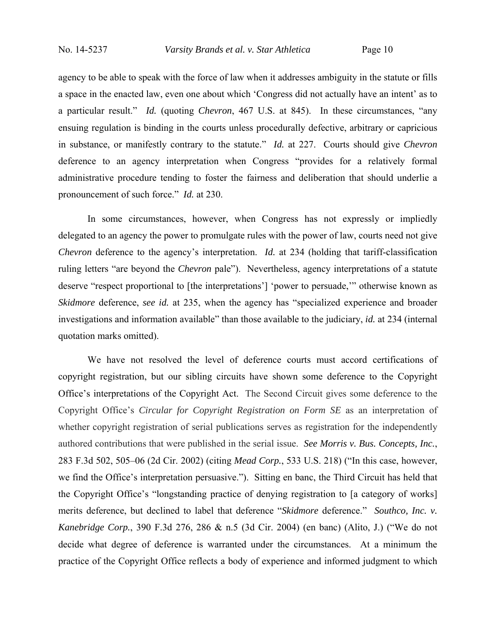agency to be able to speak with the force of law when it addresses ambiguity in the statute or fills a space in the enacted law, even one about which 'Congress did not actually have an intent' as to a particular result." *Id.* (quoting *Chevron*, 467 U.S. at 845). In these circumstances, "any ensuing regulation is binding in the courts unless procedurally defective, arbitrary or capricious in substance, or manifestly contrary to the statute." *Id.* at 227. Courts should give *Chevron* deference to an agency interpretation when Congress "provides for a relatively formal administrative procedure tending to foster the fairness and deliberation that should underlie a pronouncement of such force." *Id.* at 230.

In some circumstances, however, when Congress has not expressly or impliedly delegated to an agency the power to promulgate rules with the power of law, courts need not give *Chevron* deference to the agency's interpretation. *Id.* at 234 (holding that tariff-classification ruling letters "are beyond the *Chevron* pale"). Nevertheless, agency interpretations of a statute deserve "respect proportional to [the interpretations'] 'power to persuade,'" otherwise known as *Skidmore* deference, *see id.* at 235, when the agency has "specialized experience and broader investigations and information available" than those available to the judiciary, *id.* at 234 (internal quotation marks omitted).

We have not resolved the level of deference courts must accord certifications of copyright registration, but our sibling circuits have shown some deference to the Copyright Office's interpretations of the Copyright Act. The Second Circuit gives some deference to the Copyright Office's *Circular for Copyright Registration on Form SE* as an interpretation of whether copyright registration of serial publications serves as registration for the independently authored contributions that were published in the serial issue. *See Morris v. Bus. Concepts, Inc.*, 283 F.3d 502, 505–06 (2d Cir. 2002) (citing *Mead Corp.*, 533 U.S. 218) ("In this case, however, we find the Office's interpretation persuasive."). Sitting en banc, the Third Circuit has held that the Copyright Office's "longstanding practice of denying registration to [a category of works] merits deference, but declined to label that deference "*Skidmore* deference." *Southco, Inc. v. Kanebridge Corp.*, 390 F.3d 276, 286 & n.5 (3d Cir. 2004) (en banc) (Alito, J.) ("We do not decide what degree of deference is warranted under the circumstances. At a minimum the practice of the Copyright Office reflects a body of experience and informed judgment to which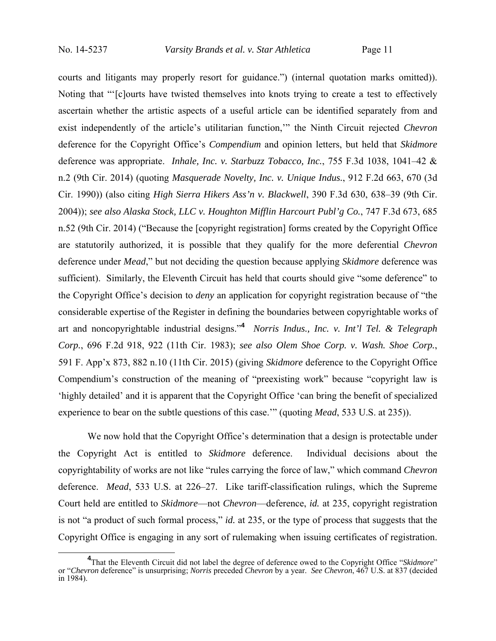courts and litigants may properly resort for guidance.") (internal quotation marks omitted)). Noting that "'[c]ourts have twisted themselves into knots trying to create a test to effectively ascertain whether the artistic aspects of a useful article can be identified separately from and exist independently of the article's utilitarian function,'" the Ninth Circuit rejected *Chevron* deference for the Copyright Office's *Compendium* and opinion letters, but held that *Skidmore*  deference was appropriate. *Inhale, Inc. v. Starbuzz Tobacco, Inc.*, 755 F.3d 1038, 1041–42 & n.2 (9th Cir. 2014) (quoting *Masquerade Novelty, Inc. v. Unique Indus.*, 912 F.2d 663, 670 (3d Cir. 1990)) (also citing *High Sierra Hikers Ass'n v. Blackwell*, 390 F.3d 630, 638–39 (9th Cir. 2004)); *see also Alaska Stock, LLC v. Houghton Mifflin Harcourt Publ'g Co.*, 747 F.3d 673, 685 n.52 (9th Cir. 2014) ("Because the [copyright registration] forms created by the Copyright Office are statutorily authorized, it is possible that they qualify for the more deferential *Chevron* deference under *Mead*," but not deciding the question because applying *Skidmore* deference was sufficient). Similarly, the Eleventh Circuit has held that courts should give "some deference" to the Copyright Office's decision to *deny* an application for copyright registration because of "the considerable expertise of the Register in defining the boundaries between copyrightable works of art and noncopyrightable industrial designs."**<sup>4</sup>** *Norris Indus., Inc. v. Int'l Tel. & Telegraph Corp.*, 696 F.2d 918, 922 (11th Cir. 1983); *see also Olem Shoe Corp. v. Wash. Shoe Corp.*, 591 F. App'x 873, 882 n.10 (11th Cir. 2015) (giving *Skidmore* deference to the Copyright Office Compendium's construction of the meaning of "preexisting work" because "copyright law is 'highly detailed' and it is apparent that the Copyright Office 'can bring the benefit of specialized experience to bear on the subtle questions of this case.'" (quoting *Mead*, 533 U.S. at 235)).

We now hold that the Copyright Office's determination that a design is protectable under the Copyright Act is entitled to *Skidmore* deference. Individual decisions about the copyrightability of works are not like "rules carrying the force of law," which command *Chevron* deference. *Mead*, 533 U.S. at 226–27. Like tariff-classification rulings, which the Supreme Court held are entitled to *Skidmore*—not *Chevron*—deference, *id.* at 235, copyright registration is not "a product of such formal process," *id.* at 235, or the type of process that suggests that the Copyright Office is engaging in any sort of rulemaking when issuing certificates of registration.

<sup>&</sup>lt;sup>4</sup>That the Eleventh Circuit did not label the degree of deference owed to the Copyright Office "*Skidmore*" or "*Chevron* deference" is unsurprising; *Norris* preceded *Chevron* by a year. *See Chevron*, 467 U.S. at 837 (decided in 1984).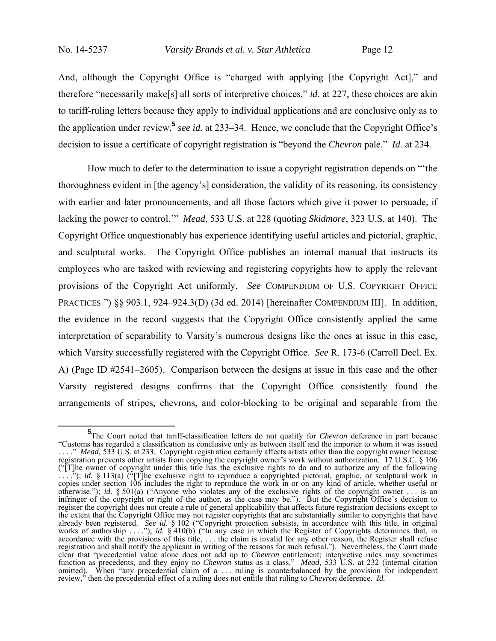And, although the Copyright Office is "charged with applying [the Copyright Act]," and therefore "necessarily make[s] all sorts of interpretive choices," *id.* at 227, these choices are akin to tariff-ruling letters because they apply to individual applications and are conclusive only as to the application under review,**<sup>5</sup>** *see id.* at 233–34. Hence, we conclude that the Copyright Office's decision to issue a certificate of copyright registration is "beyond the *Chevron* pale." *Id.* at 234.

How much to defer to the determination to issue a copyright registration depends on "'the thoroughness evident in [the agency's] consideration, the validity of its reasoning, its consistency with earlier and later pronouncements, and all those factors which give it power to persuade, if lacking the power to control.'" *Mead*, 533 U.S. at 228 (quoting *Skidmore*, 323 U.S. at 140). The Copyright Office unquestionably has experience identifying useful articles and pictorial, graphic, and sculptural works. The Copyright Office publishes an internal manual that instructs its employees who are tasked with reviewing and registering copyrights how to apply the relevant provisions of the Copyright Act uniformly. *See* COMPENDIUM OF U.S. COPYRIGHT OFFICE PRACTICES ") §§ 903.1, 924–924.3(D) (3d ed. 2014) [hereinafter COMPENDIUM III]. In addition, the evidence in the record suggests that the Copyright Office consistently applied the same interpretation of separability to Varsity's numerous designs like the ones at issue in this case, which Varsity successfully registered with the Copyright Office. *See* R. 173-6 (Carroll Decl. Ex. A) (Page ID #2541–2605). Comparison between the designs at issue in this case and the other Varsity registered designs confirms that the Copyright Office consistently found the arrangements of stripes, chevrons, and color-blocking to be original and separable from the

**<sup>5</sup>** The Court noted that tariff-classification letters do not qualify for *Chevron* deference in part because "Customs has regarded a classification as conclusive only as between itself and the importer to whom it was issued ...." *Mead*, 533 U.S. at 233. Copyright registration certainly affects artists other than the copyright owner because registration prevents other artists from copying the copyright owner's work without authorization. 17 U.S.C. § 106 ("[T]he owner of copyright under this title has the exclusive rights to do and to authorize any of the following ...."); *id.* § 113(a) ("[T]he exclusive right to reproduce a copyrighted pictorial, graphic, or sculptural work in copies under section 106 includes the right to reproduce the work in or on any kind of article, whether useful or otherwise."); *id.* § 501(a) ("Anyone who violates any of the exclusive rights of the copyright owner ... is an infringer of the copyright or right of the author, as the case may be."). But the Copyright Office's decision to register the copyright does not create a rule of general applicability that affects future registration decisions except to the extent that the Copyright Office may not register copyrights that are substantially similar to copyrights that have already been registered. *See id.* § 102 ("Copyright protection subsists, in accordance with this title, in original works of authorship ...."); *id.* § 410(b) ("In any case in which the Register of Copyrights determines that, in accordance with the provisions of this title, . . . the claim is invalid for any other reason, the Register shall refuse registration and shall notify the applicant in writing of the reasons for such refusal."). Nevertheless, the Court made clear that "precedential value alone does not add up to *Chevron* entitlement; interpretive rules may sometimes function as precedents, and they enjoy no *Chevron* status as a class." *Mead*, 533 U.S. at 232 (internal citation omitted). When "any precedential claim of a . . . ruling is counterbalanced by the provision for independent review," then the precedential effect of a ruling does not entitle that ruling to *Chevron* deference. *Id.*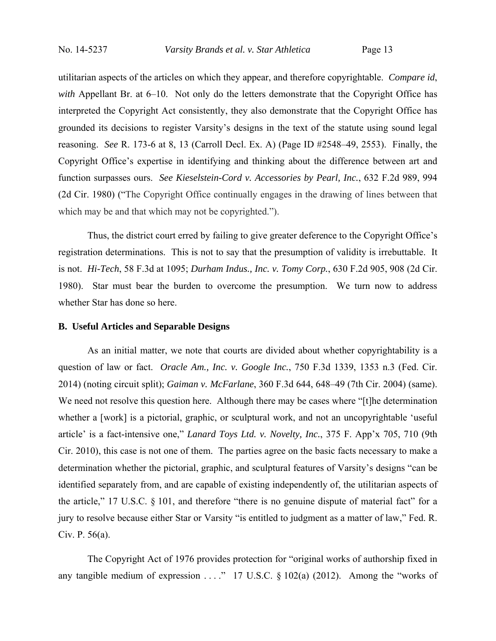utilitarian aspects of the articles on which they appear, and therefore copyrightable. *Compare id*, *with* Appellant Br. at 6–10. Not only do the letters demonstrate that the Copyright Office has interpreted the Copyright Act consistently, they also demonstrate that the Copyright Office has grounded its decisions to register Varsity's designs in the text of the statute using sound legal reasoning. *See* R. 173-6 at 8, 13 (Carroll Decl. Ex. A) (Page ID #2548–49, 2553). Finally, the Copyright Office's expertise in identifying and thinking about the difference between art and function surpasses ours. *See Kieselstein-Cord v. Accessories by Pearl, Inc.*, 632 F.2d 989, 994 (2d Cir. 1980) ("The Copyright Office continually engages in the drawing of lines between that which may be and that which may not be copyrighted.").

Thus, the district court erred by failing to give greater deference to the Copyright Office's registration determinations. This is not to say that the presumption of validity is irrebuttable. It is not. *Hi-Tech*, 58 F.3d at 1095; *Durham Indus., Inc. v. Tomy Corp.*, 630 F.2d 905, 908 (2d Cir. 1980). Star must bear the burden to overcome the presumption. We turn now to address whether Star has done so here.

#### **B. Useful Articles and Separable Designs**

As an initial matter, we note that courts are divided about whether copyrightability is a question of law or fact. *Oracle Am., Inc. v. Google Inc.*, 750 F.3d 1339, 1353 n.3 (Fed. Cir. 2014) (noting circuit split); *Gaiman v. McFarlane*, 360 F.3d 644, 648–49 (7th Cir. 2004) (same). We need not resolve this question here. Although there may be cases where "[t]he determination whether a [work] is a pictorial, graphic, or sculptural work, and not an uncopyrightable 'useful article' is a fact-intensive one," *Lanard Toys Ltd. v. Novelty, Inc.*, 375 F. App'x 705, 710 (9th Cir. 2010), this case is not one of them. The parties agree on the basic facts necessary to make a determination whether the pictorial, graphic, and sculptural features of Varsity's designs "can be identified separately from, and are capable of existing independently of, the utilitarian aspects of the article," 17 U.S.C. § 101, and therefore "there is no genuine dispute of material fact" for a jury to resolve because either Star or Varsity "is entitled to judgment as a matter of law," Fed. R. Civ. P. 56(a).

The Copyright Act of 1976 provides protection for "original works of authorship fixed in any tangible medium of expression  $\ldots$ ." 17 U.S.C. § 102(a) (2012). Among the "works of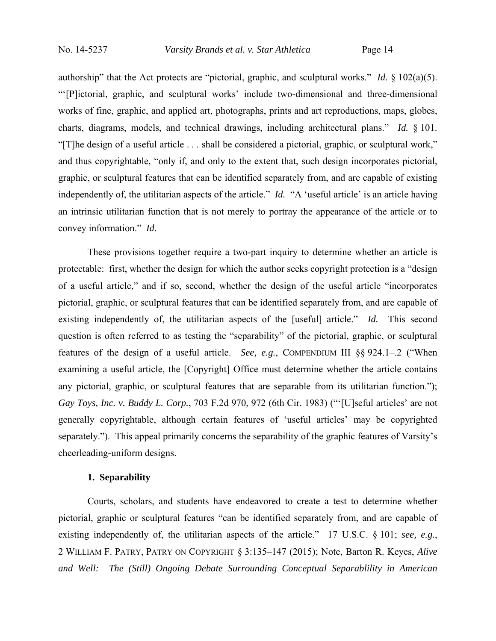authorship" that the Act protects are "pictorial, graphic, and sculptural works." *Id.* § 102(a)(5). "'[P]ictorial, graphic, and sculptural works' include two-dimensional and three-dimensional works of fine, graphic, and applied art, photographs, prints and art reproductions, maps, globes, charts, diagrams, models, and technical drawings, including architectural plans." *Id.* § 101. "[T]he design of a useful article . . . shall be considered a pictorial, graphic, or sculptural work," and thus copyrightable, "only if, and only to the extent that, such design incorporates pictorial, graphic, or sculptural features that can be identified separately from, and are capable of existing independently of, the utilitarian aspects of the article." *Id.* "A 'useful article' is an article having an intrinsic utilitarian function that is not merely to portray the appearance of the article or to convey information." *Id.*

These provisions together require a two-part inquiry to determine whether an article is protectable: first, whether the design for which the author seeks copyright protection is a "design of a useful article," and if so, second, whether the design of the useful article "incorporates pictorial, graphic, or sculptural features that can be identified separately from, and are capable of existing independently of, the utilitarian aspects of the [useful] article." *Id.* This second question is often referred to as testing the "separability" of the pictorial, graphic, or sculptural features of the design of a useful article. *See, e.g.*, COMPENDIUM III §§ 924.1–.2 ("When examining a useful article, the [Copyright] Office must determine whether the article contains any pictorial, graphic, or sculptural features that are separable from its utilitarian function."); *Gay Toys, Inc. v. Buddy L. Corp.*, 703 F.2d 970, 972 (6th Cir. 1983) ("'[U]seful articles' are not generally copyrightable, although certain features of 'useful articles' may be copyrighted separately."). This appeal primarily concerns the separability of the graphic features of Varsity's cheerleading-uniform designs.

## **1. Separability**

Courts, scholars, and students have endeavored to create a test to determine whether pictorial, graphic or sculptural features "can be identified separately from, and are capable of existing independently of, the utilitarian aspects of the article." 17 U.S.C. § 101; *see, e.g.*, 2 WILLIAM F. PATRY, PATRY ON COPYRIGHT § 3:135–147 (2015); Note, Barton R. Keyes, *Alive and Well: The (Still) Ongoing Debate Surrounding Conceptual Separablility in American*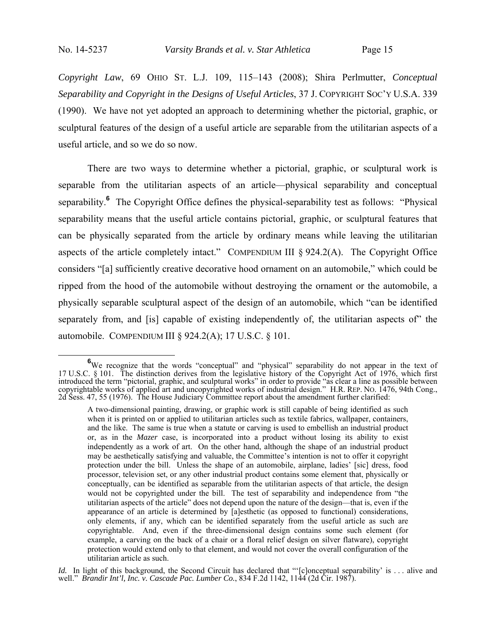*Copyright Law*, 69 OHIO ST. L.J. 109, 115–143 (2008); Shira Perlmutter, *Conceptual Separability and Copyright in the Designs of Useful Articles*, 37 J. COPYRIGHT SOC'Y U.S.A. 339 (1990). We have not yet adopted an approach to determining whether the pictorial, graphic, or sculptural features of the design of a useful article are separable from the utilitarian aspects of a useful article, and so we do so now.

There are two ways to determine whether a pictorial, graphic, or sculptural work is separable from the utilitarian aspects of an article—physical separability and conceptual separability.<sup>6</sup> The Copyright Office defines the physical-separability test as follows: "Physical separability means that the useful article contains pictorial, graphic, or sculptural features that can be physically separated from the article by ordinary means while leaving the utilitarian aspects of the article completely intact." COMPENDIUM III § 924.2(A). The Copyright Office considers "[a] sufficiently creative decorative hood ornament on an automobile," which could be ripped from the hood of the automobile without destroying the ornament or the automobile, a physically separable sculptural aspect of the design of an automobile, which "can be identified separately from, and [is] capable of existing independently of, the utilitarian aspects of" the automobile. COMPENDIUM III  $\S$  924.2(A); 17 U.S.C.  $\S$  101.

**<sup>6</sup>** <sup>6</sup>We recognize that the words "conceptual" and "physical" separability do not appear in the text of 17 U.S.C. § 101. The distinction derives from the legislative history of the Copyright Act of 1976, which first introduced the term "pictorial, graphic, and sculptural works" in order to provide "as clear a line as possible between copyrightable works of applied art and uncopyrighted works of industrial design." H.R. REP. NO. 1476, 94th Cong., 2d Sess. 47, 55 (1976). The House Judiciary Committee report about the amendment further clarified:

A two-dimensional painting, drawing, or graphic work is still capable of being identified as such when it is printed on or applied to utilitarian articles such as textile fabrics, wallpaper, containers, and the like. The same is true when a statute or carving is used to embellish an industrial product or, as in the *Mazer* case, is incorporated into a product without losing its ability to exist independently as a work of art. On the other hand, although the shape of an industrial product may be aesthetically satisfying and valuable, the Committee's intention is not to offer it copyright protection under the bill. Unless the shape of an automobile, airplane, ladies' [sic] dress, food processor, television set, or any other industrial product contains some element that, physically or conceptually, can be identified as separable from the utilitarian aspects of that article, the design would not be copyrighted under the bill. The test of separability and independence from "the utilitarian aspects of the article" does not depend upon the nature of the design—that is, even if the appearance of an article is determined by [a]esthetic (as opposed to functional) considerations, only elements, if any, which can be identified separately from the useful article as such are copyrightable. And, even if the three-dimensional design contains some such element (for example, a carving on the back of a chair or a floral relief design on silver flatware), copyright protection would extend only to that element, and would not cover the overall configuration of the utilitarian article as such.

*Id.* In light of this background, the Second Circuit has declared that "'[c]onceptual separability' is ... alive and well." *Brandir Int'l, Inc. v. Cascade Pac. Lumber Co.*, 834 F.2d 1142, 1144 (2d Cir. 1987).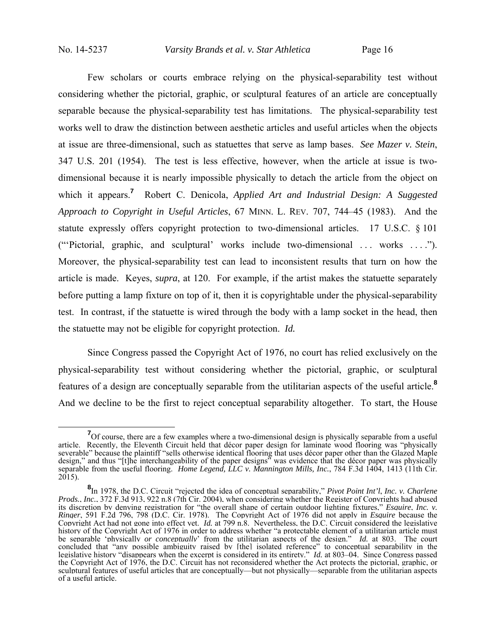Few scholars or courts embrace relying on the physical-separability test without considering whether the pictorial, graphic, or sculptural features of an article are conceptually separable because the physical-separability test has limitations. The physical-separability test works well to draw the distinction between aesthetic articles and useful articles when the objects at issue are three-dimensional, such as statuettes that serve as lamp bases. *See Mazer v. Stein*, 347 U.S. 201 (1954). The test is less effective, however, when the article at issue is twodimensional because it is nearly impossible physically to detach the article from the object on which it appears.**<sup>7</sup>** Robert C. Denicola, *Applied Art and Industrial Design: A Suggested Approach to Copyright in Useful Articles*, 67 MINN. L. REV. 707, 744–45 (1983). And the statute expressly offers copyright protection to two-dimensional articles. 17 U.S.C. § 101 ("'Pictorial, graphic, and sculptural' works include two-dimensional . . . works . . . ."). Moreover, the physical-separability test can lead to inconsistent results that turn on how the article is made. Keyes, *supra*, at 120. For example, if the artist makes the statuette separately before putting a lamp fixture on top of it, then it is copyrightable under the physical-separability test. In contrast, if the statuette is wired through the body with a lamp socket in the head, then the statuette may not be eligible for copyright protection. *Id.*

Since Congress passed the Copyright Act of 1976, no court has relied exclusively on the physical-separability test without considering whether the pictorial, graphic, or sculptural features of a design are conceptually separable from the utilitarian aspects of the useful article.**<sup>8</sup>** And we decline to be the first to reject conceptual separability altogether. To start, the House

**<sup>7</sup>** <sup>7</sup>Of course, there are a few examples where a two-dimensional design is physically separable from a useful article. Recently, the Eleventh Circuit held that décor paper design for laminate wood flooring was "physically severable" because the plaintiff "sells otherwise identical flooring that uses décor paper other than the Glazed Maple design," and thus "[t]he interchangeability of the paper designs" was evidence that the décor paper was physically separable from the useful flooring. *Home Legend, LLC v. Mannington Mills, Inc.*, 784 F.3d 1404, 1413 (11th Cir. 2015).

**<sup>8</sup>** In 1978, the D.C. Circuit "rejected the idea of conceptual separability," *Pivot Point Int'l, Inc. v. Charlene Prods., Inc.*, 372 F.3d 913, 922 n.8 (7th Cir. 2004), when considering whether the Register of Copyrights had abused its discretion by denying registration for "the overall shape of certain outdoor lighting fixtures," *Esquire, Inc. v. Ringer*, 591 F.2d 796, 798 (D.C. Cir. 1978). The Copyright Act of 1976 did not apply in *Esquire* because the Copyright Act had not gone into effect yet. *Id.* at 799 n.8. Nevertheless, the D.C. Circuit considered the legislative history of the Copyright Act of 1976 in order to address whether "a protectable element of a utilitarian article must be separable 'physically *or conceptually*' from the utilitarian aspects of the design." *Id.* at 803. The court concluded that "any possible ambiguity raised by [the] isolated reference" to conceptual separability in the legislative history "disappears when the excerpt is considered in its entirety." *Id.* at 803–04. Since Congress passed the Copyright Act of 1976, the D.C. Circuit has not reconsidered whether the Act protects the pictorial, graphic, or sculptural features of useful articles that are conceptually—but not physically—separable from the utilitarian aspects of a useful article.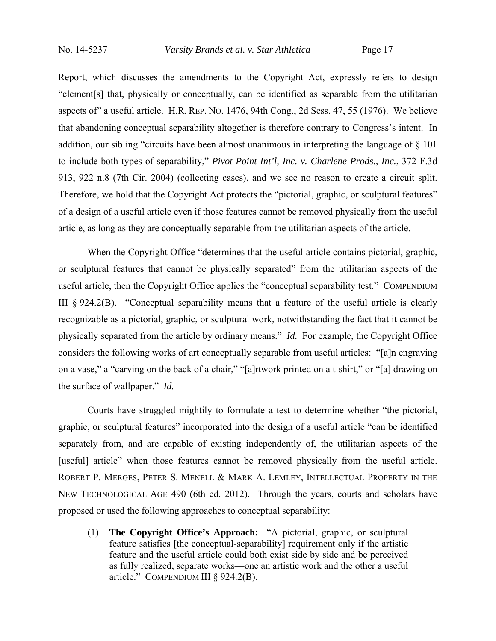Report, which discusses the amendments to the Copyright Act, expressly refers to design "element[s] that, physically or conceptually, can be identified as separable from the utilitarian aspects of" a useful article. H.R. REP. NO. 1476, 94th Cong., 2d Sess. 47, 55 (1976). We believe that abandoning conceptual separability altogether is therefore contrary to Congress's intent. In addition, our sibling "circuits have been almost unanimous in interpreting the language of § 101 to include both types of separability," *Pivot Point Int'l, Inc. v. Charlene Prods., Inc.*, 372 F.3d 913, 922 n.8 (7th Cir. 2004) (collecting cases), and we see no reason to create a circuit split. Therefore, we hold that the Copyright Act protects the "pictorial, graphic, or sculptural features" of a design of a useful article even if those features cannot be removed physically from the useful article, as long as they are conceptually separable from the utilitarian aspects of the article.

When the Copyright Office "determines that the useful article contains pictorial, graphic, or sculptural features that cannot be physically separated" from the utilitarian aspects of the useful article, then the Copyright Office applies the "conceptual separability test." COMPENDIUM III § 924.2(B). "Conceptual separability means that a feature of the useful article is clearly recognizable as a pictorial, graphic, or sculptural work, notwithstanding the fact that it cannot be physically separated from the article by ordinary means." *Id.* For example, the Copyright Office considers the following works of art conceptually separable from useful articles: "[a]n engraving on a vase," a "carving on the back of a chair," "[a]rtwork printed on a t-shirt," or "[a] drawing on the surface of wallpaper." *Id.*

 Courts have struggled mightily to formulate a test to determine whether "the pictorial, graphic, or sculptural features" incorporated into the design of a useful article "can be identified separately from, and are capable of existing independently of, the utilitarian aspects of the [useful] article" when those features cannot be removed physically from the useful article. ROBERT P. MERGES, PETER S. MENELL & MARK A. LEMLEY, INTELLECTUAL PROPERTY IN THE NEW TECHNOLOGICAL AGE 490 (6th ed. 2012). Through the years, courts and scholars have proposed or used the following approaches to conceptual separability:

(1) **The Copyright Office's Approach:** "A pictorial, graphic, or sculptural feature satisfies [the conceptual-separability] requirement only if the artistic feature and the useful article could both exist side by side and be perceived as fully realized, separate works—one an artistic work and the other a useful article." COMPENDIUM III § 924.2(B).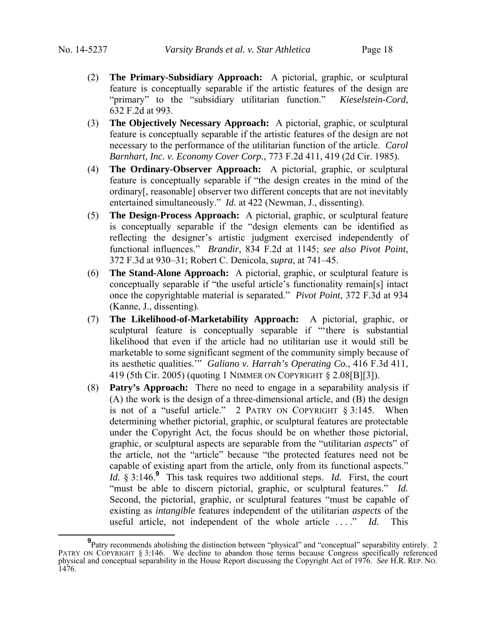- (2) **The Primary-Subsidiary Approach:** A pictorial, graphic, or sculptural feature is conceptually separable if the artistic features of the design are "primary" to the "subsidiary utilitarian function." *Kieselstein-Cord*, 632 F.2d at 993.
- (3) **The Objectively Necessary Approach:** A pictorial, graphic, or sculptural feature is conceptually separable if the artistic features of the design are not necessary to the performance of the utilitarian function of the article. *Carol Barnhart, Inc. v. Economy Cover Corp.*, 773 F.2d 411, 419 (2d Cir. 1985).
- (4) **The Ordinary-Observer Approach:** A pictorial, graphic, or sculptural feature is conceptually separable if "the design creates in the mind of the ordinary[, reasonable] observer two different concepts that are not inevitably entertained simultaneously." *Id.* at 422 (Newman, J., dissenting).
- (5) **The Design-Process Approach:** A pictorial, graphic, or sculptural feature is conceptually separable if the "design elements can be identified as reflecting the designer's artistic judgment exercised independently of functional influences." *Brandir*, 834 F.2d at 1145; *see also Pivot Point*, 372 F.3d at 930–31; Robert C. Denicola, *supra*, at 741–45.
- (6) **The Stand-Alone Approach:** A pictorial, graphic, or sculptural feature is conceptually separable if "the useful article's functionality remain[s] intact once the copyrightable material is separated." *Pivot Point*, 372 F.3d at 934 (Kanne, J., dissenting).
- (7) **The Likelihood-of-Marketability Approach:** A pictorial, graphic, or sculptural feature is conceptually separable if "'there is substantial likelihood that even if the article had no utilitarian use it would still be marketable to some significant segment of the community simply because of its aesthetic qualities.'" *Galiano v. Harrah's Operating Co.*, 416 F.3d 411, 419 (5th Cir. 2005) (quoting 1 NIMMER ON COPYRIGHT § 2.08[B][3]).
- (8) **Patry's Approach:** There no need to engage in a separability analysis if (A) the work is the design of a three-dimensional article, and (B) the design is not of a "useful article." 2 PATRY ON COPYRIGHT § 3:145. When determining whether pictorial, graphic, or sculptural features are protectable under the Copyright Act, the focus should be on whether those pictorial, graphic, or sculptural aspects are separable from the "utilitarian *aspects*" of the article, not the "article" because "the protected features need not be capable of existing apart from the article, only from its functional aspects." *Id.* § 3:146.**<sup>9</sup>** This task requires two additional steps. *Id.* First, the court "must be able to discern pictorial, graphic, or sculptural features." *Id.* Second, the pictorial, graphic, or sculptural features "must be capable of existing as *intangible* features independent of the utilitarian *aspects* of the useful article, not independent of the whole article . . . ." *Id.* This

**<sup>9</sup> 9** Patry recommends abolishing the distinction between "physical" and "conceptual" separability entirely. 2 PATRY ON COPYRIGHT § 3:146. We decline to abandon those terms because Congress specifically referenced physical and conceptual separability in the House Report discussing the Copyright Act of 1976. *See* H.R. REP. NO. 1476.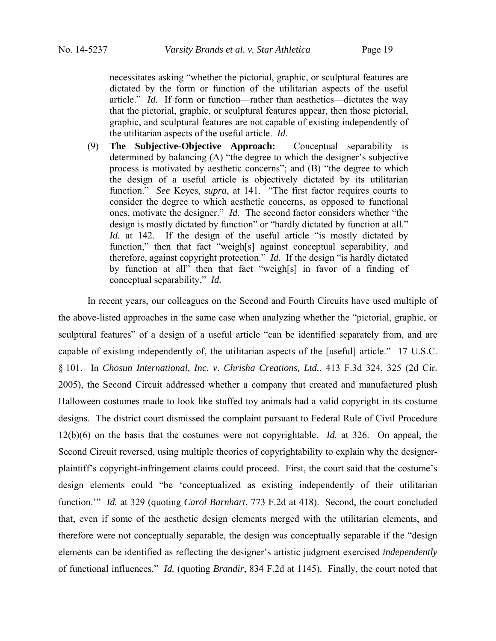necessitates asking "whether the pictorial, graphic, or sculptural features are dictated by the form or function of the utilitarian aspects of the useful article." *Id.* If form or function—rather than aesthetics—dictates the way that the pictorial, graphic, or sculptural features appear, then those pictorial, graphic, and sculptural features are not capable of existing independently of the utilitarian aspects of the useful article. *Id.*

(9) **The Subjective-Objective Approach:** Conceptual separability is determined by balancing (A) "the degree to which the designer's subjective process is motivated by aesthetic concerns"; and (B) "the degree to which the design of a useful article is objectively dictated by its utilitarian function." *See* Keyes, *supra*, at 141. "The first factor requires courts to consider the degree to which aesthetic concerns, as opposed to functional ones, motivate the designer." *Id.* The second factor considers whether "the design is mostly dictated by function" or "hardly dictated by function at all." *Id.* at 142. If the design of the useful article "is mostly dictated by function," then that fact "weigh[s] against conceptual separability, and therefore, against copyright protection." *Id.* If the design "is hardly dictated by function at all" then that fact "weigh[s] in favor of a finding of conceptual separability." *Id.*

In recent years, our colleagues on the Second and Fourth Circuits have used multiple of the above-listed approaches in the same case when analyzing whether the "pictorial, graphic, or sculptural features" of a design of a useful article "can be identified separately from, and are capable of existing independently of, the utilitarian aspects of the [useful] article." 17 U.S.C. § 101. In *Chosun International, Inc. v. Chrisha Creations, Ltd.*, 413 F.3d 324, 325 (2d Cir. 2005), the Second Circuit addressed whether a company that created and manufactured plush Halloween costumes made to look like stuffed toy animals had a valid copyright in its costume designs. The district court dismissed the complaint pursuant to Federal Rule of Civil Procedure 12(b)(6) on the basis that the costumes were not copyrightable. *Id.* at 326. On appeal, the Second Circuit reversed, using multiple theories of copyrightability to explain why the designerplaintiff's copyright-infringement claims could proceed. First, the court said that the costume's design elements could "be 'conceptualized as existing independently of their utilitarian function.'" *Id.* at 329 (quoting *Carol Barnhart*, 773 F.2d at 418). Second, the court concluded that, even if some of the aesthetic design elements merged with the utilitarian elements, and therefore were not conceptually separable, the design was conceptually separable if the "design elements can be identified as reflecting the designer's artistic judgment exercised *independently* of functional influences." *Id.* (quoting *Brandir*, 834 F.2d at 1145). Finally, the court noted that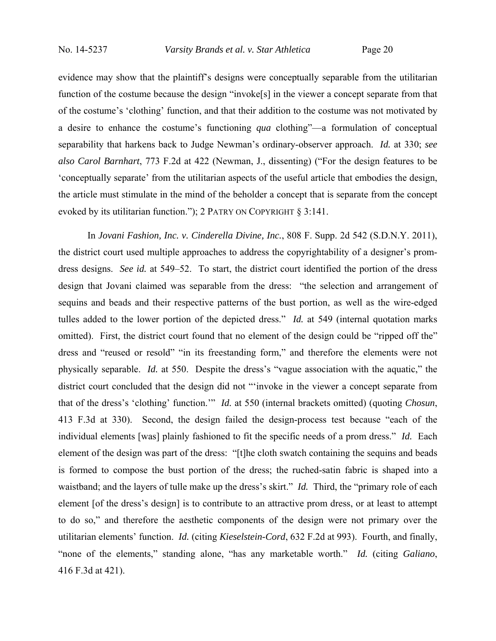evidence may show that the plaintiff's designs were conceptually separable from the utilitarian function of the costume because the design "invoke<sup>[5]</sup> in the viewer a concept separate from that of the costume's 'clothing' function, and that their addition to the costume was not motivated by a desire to enhance the costume's functioning *qua* clothing"—a formulation of conceptual separability that harkens back to Judge Newman's ordinary-observer approach. *Id.* at 330; *see also Carol Barnhart*, 773 F.2d at 422 (Newman, J., dissenting) ("For the design features to be 'conceptually separate' from the utilitarian aspects of the useful article that embodies the design, the article must stimulate in the mind of the beholder a concept that is separate from the concept evoked by its utilitarian function."); 2 PATRY ON COPYRIGHT § 3:141.

In *Jovani Fashion, Inc. v. Cinderella Divine, Inc.*, 808 F. Supp. 2d 542 (S.D.N.Y. 2011), the district court used multiple approaches to address the copyrightability of a designer's promdress designs. *See id.* at 549–52. To start, the district court identified the portion of the dress design that Jovani claimed was separable from the dress: "the selection and arrangement of sequins and beads and their respective patterns of the bust portion, as well as the wire-edged tulles added to the lower portion of the depicted dress." *Id.* at 549 (internal quotation marks omitted). First, the district court found that no element of the design could be "ripped off the" dress and "reused or resold" "in its freestanding form," and therefore the elements were not physically separable. *Id.* at 550. Despite the dress's "vague association with the aquatic," the district court concluded that the design did not "'invoke in the viewer a concept separate from that of the dress's 'clothing' function.'" *Id.* at 550 (internal brackets omitted) (quoting *Chosun*, 413 F.3d at 330). Second, the design failed the design-process test because "each of the individual elements [was] plainly fashioned to fit the specific needs of a prom dress." *Id.* Each element of the design was part of the dress: "[t]he cloth swatch containing the sequins and beads is formed to compose the bust portion of the dress; the ruched-satin fabric is shaped into a waistband; and the layers of tulle make up the dress's skirt." *Id.* Third, the "primary role of each element [of the dress's design] is to contribute to an attractive prom dress, or at least to attempt to do so," and therefore the aesthetic components of the design were not primary over the utilitarian elements' function. *Id.* (citing *Kieselstein-Cord*, 632 F.2d at 993). Fourth, and finally, "none of the elements," standing alone, "has any marketable worth." *Id.* (citing *Galiano*, 416 F.3d at 421).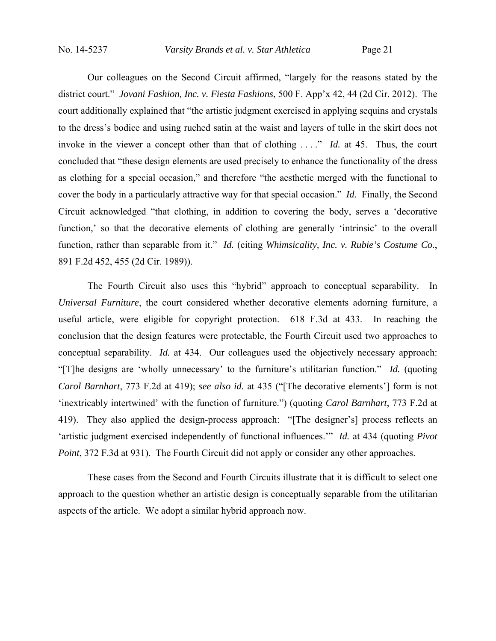Our colleagues on the Second Circuit affirmed, "largely for the reasons stated by the district court." *Jovani Fashion, Inc. v. Fiesta Fashions*, 500 F. App'x 42, 44 (2d Cir. 2012). The court additionally explained that "the artistic judgment exercised in applying sequins and crystals to the dress's bodice and using ruched satin at the waist and layers of tulle in the skirt does not invoke in the viewer a concept other than that of clothing . . . ." *Id.* at 45. Thus, the court concluded that "these design elements are used precisely to enhance the functionality of the dress as clothing for a special occasion," and therefore "the aesthetic merged with the functional to cover the body in a particularly attractive way for that special occasion." *Id.* Finally, the Second Circuit acknowledged "that clothing, in addition to covering the body, serves a 'decorative function,' so that the decorative elements of clothing are generally 'intrinsic' to the overall function, rather than separable from it." *Id.* (citing *Whimsicality, Inc. v. Rubie's Costume Co.*, 891 F.2d 452, 455 (2d Cir. 1989)).

The Fourth Circuit also uses this "hybrid" approach to conceptual separability. In *Universal Furniture*, the court considered whether decorative elements adorning furniture, a useful article, were eligible for copyright protection. 618 F.3d at 433. In reaching the conclusion that the design features were protectable, the Fourth Circuit used two approaches to conceptual separability. *Id.* at 434. Our colleagues used the objectively necessary approach: "[T]he designs are 'wholly unnecessary' to the furniture's utilitarian function." *Id.* (quoting *Carol Barnhart*, 773 F.2d at 419); *see also id.* at 435 ("[The decorative elements'] form is not 'inextricably intertwined' with the function of furniture.") (quoting *Carol Barnhart*, 773 F.2d at 419). They also applied the design-process approach: "[The designer's] process reflects an 'artistic judgment exercised independently of functional influences.'" *Id.* at 434 (quoting *Pivot Point*, 372 F.3d at 931). The Fourth Circuit did not apply or consider any other approaches.

These cases from the Second and Fourth Circuits illustrate that it is difficult to select one approach to the question whether an artistic design is conceptually separable from the utilitarian aspects of the article. We adopt a similar hybrid approach now.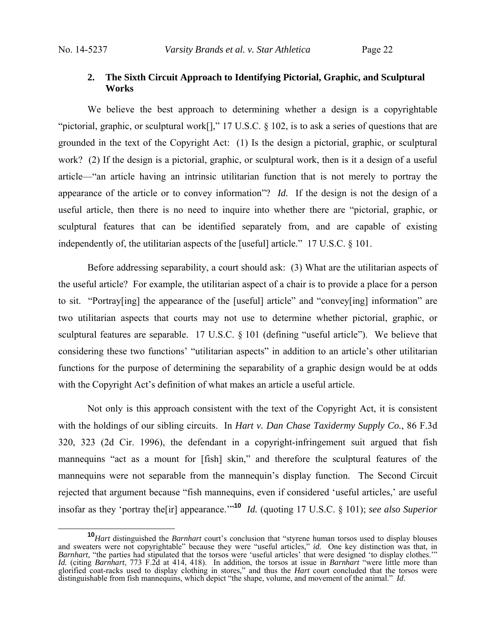## **2. The Sixth Circuit Approach to Identifying Pictorial, Graphic, and Sculptural Works**

We believe the best approach to determining whether a design is a copyrightable "pictorial, graphic, or sculptural work<sup>[]</sup>," 17 U.S.C. § 102, is to ask a series of questions that are grounded in the text of the Copyright Act: (1) Is the design a pictorial, graphic, or sculptural work? (2) If the design is a pictorial, graphic, or sculptural work, then is it a design of a useful article—"an article having an intrinsic utilitarian function that is not merely to portray the appearance of the article or to convey information"? *Id.* If the design is not the design of a useful article, then there is no need to inquire into whether there are "pictorial, graphic, or sculptural features that can be identified separately from, and are capable of existing independently of, the utilitarian aspects of the [useful] article." 17 U.S.C. § 101.

Before addressing separability, a court should ask: (3) What are the utilitarian aspects of the useful article? For example, the utilitarian aspect of a chair is to provide a place for a person to sit. "Portray[ing] the appearance of the [useful] article" and "convey[ing] information" are two utilitarian aspects that courts may not use to determine whether pictorial, graphic, or sculptural features are separable. 17 U.S.C. § 101 (defining "useful article"). We believe that considering these two functions' "utilitarian aspects" in addition to an article's other utilitarian functions for the purpose of determining the separability of a graphic design would be at odds with the Copyright Act's definition of what makes an article a useful article.

Not only is this approach consistent with the text of the Copyright Act, it is consistent with the holdings of our sibling circuits. In *Hart v. Dan Chase Taxidermy Supply Co.*, 86 F.3d 320, 323 (2d Cir. 1996), the defendant in a copyright-infringement suit argued that fish mannequins "act as a mount for [fish] skin," and therefore the sculptural features of the mannequins were not separable from the mannequin's display function. The Second Circuit rejected that argument because "fish mannequins, even if considered 'useful articles,' are useful insofar as they 'portray the[ir] appearance.'"**<sup>10</sup>** *Id.* (quoting 17 U.S.C. § 101); *see also Superior* 

<sup>&</sup>lt;sup>10</sup>*Hart* distinguished the *Barnhart* court's conclusion that "styrene human torsos used to display blouses and sweaters were not copyrightable" because they were "useful articles," *id.* One key distinction was that, in *Barnhart*, "the parties had stipulated that the torsos were 'useful articles' that were designed 'to display clothes.'" *Id.* (citing *Barnhart*, 773 F.2d at 414, 418). In addition, the torsos at issue in *Barnhart* "were little more than glorified coat-racks used to display clothing in stores," and thus the *Hart* court concluded that the torsos were distinguishable from fish mannequins, which depict "the shape, volume, and movement of the animal." *Id.*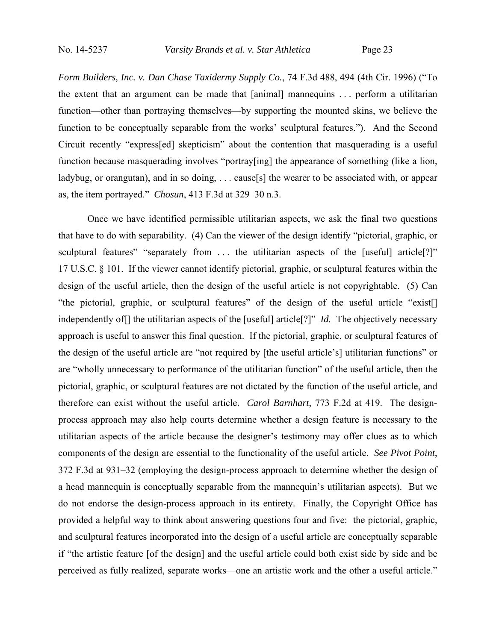*Form Builders, Inc. v. Dan Chase Taxidermy Supply Co.*, 74 F.3d 488, 494 (4th Cir. 1996) ("To the extent that an argument can be made that [animal] mannequins . . . perform a utilitarian function—other than portraying themselves—by supporting the mounted skins, we believe the function to be conceptually separable from the works' sculptural features.").And the Second Circuit recently "express[ed] skepticism" about the contention that masquerading is a useful function because masquerading involves "portray[ing] the appearance of something (like a lion, ladybug, or orangutan), and in so doing, ... cause[s] the wearer to be associated with, or appear as, the item portrayed." *Chosun*, 413 F.3d at 329–30 n.3.

Once we have identified permissible utilitarian aspects, we ask the final two questions that have to do with separability. (4) Can the viewer of the design identify "pictorial, graphic, or sculptural features" "separately from ... the utilitarian aspects of the [useful] article[?]" 17 U.S.C. § 101. If the viewer cannot identify pictorial, graphic, or sculptural features within the design of the useful article, then the design of the useful article is not copyrightable. (5) Can "the pictorial, graphic, or sculptural features" of the design of the useful article "exist[] independently of he utilitarian aspects of the [useful] article<sup>[?]"</sup> *Id.* The objectively necessary approach is useful to answer this final question. If the pictorial, graphic, or sculptural features of the design of the useful article are "not required by [the useful article's] utilitarian functions" or are "wholly unnecessary to performance of the utilitarian function" of the useful article, then the pictorial, graphic, or sculptural features are not dictated by the function of the useful article, and therefore can exist without the useful article. *Carol Barnhart*, 773 F.2d at 419. The designprocess approach may also help courts determine whether a design feature is necessary to the utilitarian aspects of the article because the designer's testimony may offer clues as to which components of the design are essential to the functionality of the useful article. *See Pivot Point*, 372 F.3d at 931–32 (employing the design-process approach to determine whether the design of a head mannequin is conceptually separable from the mannequin's utilitarian aspects). But we do not endorse the design-process approach in its entirety. Finally, the Copyright Office has provided a helpful way to think about answering questions four and five: the pictorial, graphic, and sculptural features incorporated into the design of a useful article are conceptually separable if "the artistic feature [of the design] and the useful article could both exist side by side and be perceived as fully realized, separate works—one an artistic work and the other a useful article."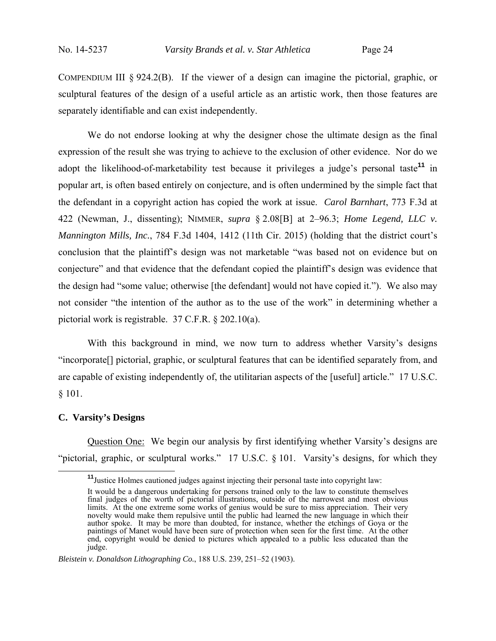COMPENDIUM III § 924.2(B). If the viewer of a design can imagine the pictorial, graphic, or sculptural features of the design of a useful article as an artistic work, then those features are separately identifiable and can exist independently.

We do not endorse looking at why the designer chose the ultimate design as the final expression of the result she was trying to achieve to the exclusion of other evidence. Nor do we adopt the likelihood-of-marketability test because it privileges a judge's personal taste**<sup>11</sup>** in popular art, is often based entirely on conjecture, and is often undermined by the simple fact that the defendant in a copyright action has copied the work at issue. *Carol Barnhart*, 773 F.3d at 422 (Newman, J., dissenting); NIMMER, *supra* § 2.08[B] at 2–96.3; *Home Legend, LLC v. Mannington Mills, Inc.*, 784 F.3d 1404, 1412 (11th Cir. 2015) (holding that the district court's conclusion that the plaintiff's design was not marketable "was based not on evidence but on conjecture" and that evidence that the defendant copied the plaintiff's design was evidence that the design had "some value; otherwise [the defendant] would not have copied it."). We also may not consider "the intention of the author as to the use of the work" in determining whether a pictorial work is registrable. 37 C.F.R. § 202.10(a).

With this background in mind, we now turn to address whether Varsity's designs "incorporate[] pictorial, graphic, or sculptural features that can be identified separately from, and are capable of existing independently of, the utilitarian aspects of the [useful] article." 17 U.S.C. § 101.

### **C. Varsity's Designs**

Question One: We begin our analysis by first identifying whether Varsity's designs are "pictorial, graphic, or sculptural works." 17 U.S.C. § 101. Varsity's designs, for which they

#### *Bleistein v. Donaldson Lithographing Co.*, 188 U.S. 239, 251–52 (1903).

**<sup>11</sup>**Justice Holmes cautioned judges against injecting their personal taste into copyright law:

It would be a dangerous undertaking for persons trained only to the law to constitute themselves final judges of the worth of pictorial illustrations, outside of the narrowest and most obvious limits. At the one extreme some works of genius would be sure to miss appreciation. Their very novelty would make them repulsive until the public had learned the new language in which their author spoke. It may be more than doubted, for instance, whether the etchings of Goya or the paintings of Manet would have been sure of protection when seen for the first time. At the other end, copyright would be denied to pictures which appealed to a public less educated than the judge.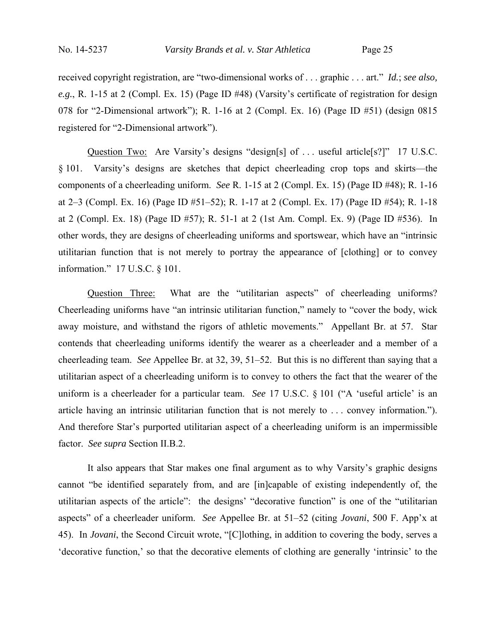received copyright registration, are "two-dimensional works of . . . graphic . . . art." *Id.*; *see also, e.g.*, R. 1-15 at 2 (Compl. Ex. 15) (Page ID #48) (Varsity's certificate of registration for design 078 for "2-Dimensional artwork"); R. 1-16 at 2 (Compl. Ex. 16) (Page ID #51) (design 0815 registered for "2-Dimensional artwork").

Question Two: Are Varsity's designs "design[s] of ... useful article[s?]" 17 U.S.C. § 101. Varsity's designs are sketches that depict cheerleading crop tops and skirts—the components of a cheerleading uniform. *See* R. 1-15 at 2 (Compl. Ex. 15) (Page ID #48); R. 1-16 at 2–3 (Compl. Ex. 16) (Page ID #51–52); R. 1-17 at 2 (Compl. Ex. 17) (Page ID #54); R. 1-18 at 2 (Compl. Ex. 18) (Page ID #57); R. 51-1 at 2 (1st Am. Compl. Ex. 9) (Page ID #536). In other words, they are designs of cheerleading uniforms and sportswear, which have an "intrinsic utilitarian function that is not merely to portray the appearance of [clothing] or to convey information." 17 U.S.C. § 101.

Question Three: What are the "utilitarian aspects" of cheerleading uniforms? Cheerleading uniforms have "an intrinsic utilitarian function," namely to "cover the body, wick away moisture, and withstand the rigors of athletic movements." Appellant Br. at 57. Star contends that cheerleading uniforms identify the wearer as a cheerleader and a member of a cheerleading team. *See* Appellee Br. at 32, 39, 51–52. But this is no different than saying that a utilitarian aspect of a cheerleading uniform is to convey to others the fact that the wearer of the uniform is a cheerleader for a particular team. *See* 17 U.S.C. § 101 ("A 'useful article' is an article having an intrinsic utilitarian function that is not merely to . . . convey information."). And therefore Star's purported utilitarian aspect of a cheerleading uniform is an impermissible factor. *See supra* Section II.B.2.

It also appears that Star makes one final argument as to why Varsity's graphic designs cannot "be identified separately from, and are [in]capable of existing independently of, the utilitarian aspects of the article": the designs' "decorative function" is one of the "utilitarian aspects" of a cheerleader uniform. *See* Appellee Br. at 51–52 (citing *Jovani*, 500 F. App'x at 45). In *Jovani*, the Second Circuit wrote, "[C]lothing, in addition to covering the body, serves a 'decorative function,' so that the decorative elements of clothing are generally 'intrinsic' to the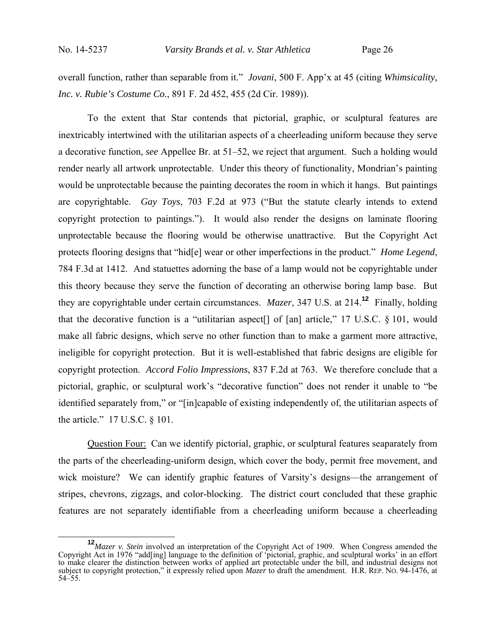overall function, rather than separable from it." *Jovani*, 500 F. App'x at 45 (citing *Whimsicality, Inc. v. Rubie's Costume Co.*, 891 F. 2d 452, 455 (2d Cir. 1989)).

To the extent that Star contends that pictorial, graphic, or sculptural features are inextricably intertwined with the utilitarian aspects of a cheerleading uniform because they serve a decorative function, *see* Appellee Br. at 51–52, we reject that argument. Such a holding would render nearly all artwork unprotectable. Under this theory of functionality, Mondrian's painting would be unprotectable because the painting decorates the room in which it hangs. But paintings are copyrightable. *Gay Toys*, 703 F.2d at 973 ("But the statute clearly intends to extend copyright protection to paintings."). It would also render the designs on laminate flooring unprotectable because the flooring would be otherwise unattractive. But the Copyright Act protects flooring designs that "hid[e] wear or other imperfections in the product." *Home Legend*, 784 F.3d at 1412. And statuettes adorning the base of a lamp would not be copyrightable under this theory because they serve the function of decorating an otherwise boring lamp base. But they are copyrightable under certain circumstances. *Mazer*, 347 U.S. at 214.**<sup>12</sup>** Finally, holding that the decorative function is a "utilitarian aspect[] of [an] article," 17 U.S.C. § 101, would make all fabric designs, which serve no other function than to make a garment more attractive, ineligible for copyright protection. But it is well-established that fabric designs are eligible for copyright protection. *Accord Folio Impressions*, 837 F.2d at 763. We therefore conclude that a pictorial, graphic, or sculptural work's "decorative function" does not render it unable to "be identified separately from," or "[in]capable of existing independently of, the utilitarian aspects of the article." 17 U.S.C. § 101.

Question Four: Can we identify pictorial, graphic, or sculptural features seaparately from the parts of the cheerleading-uniform design, which cover the body, permit free movement, and wick moisture? We can identify graphic features of Varsity's designs—the arrangement of stripes, chevrons, zigzags, and color-blocking. The district court concluded that these graphic features are not separately identifiable from a cheerleading uniform because a cheerleading

**<sup>12</sup>***Mazer v. Stein* involved an interpretation of the Copyright Act of 1909. When Congress amended the Copyright Act in 1976 "add[ing] language to the definition of 'pictorial, graphic, and sculptural works' in an effort to make clearer the distinction between works of applied art protectable under the bill, and industrial designs not subject to copyright protection," it expressly relied upon *Mazer* to draft the amendment. H.R. REP. NO. 94-1476, at 54–55.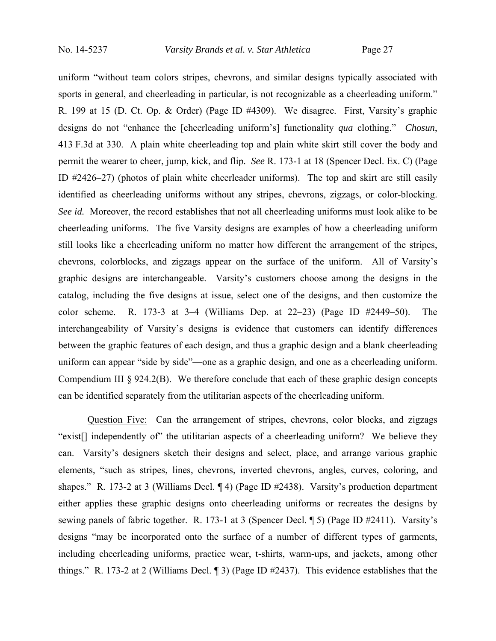uniform "without team colors stripes, chevrons, and similar designs typically associated with sports in general, and cheerleading in particular, is not recognizable as a cheerleading uniform." R. 199 at 15 (D. Ct. Op. & Order) (Page ID #4309). We disagree. First, Varsity's graphic designs do not "enhance the [cheerleading uniform's] functionality *qua* clothing." *Chosun*, 413 F.3d at 330. A plain white cheerleading top and plain white skirt still cover the body and permit the wearer to cheer, jump, kick, and flip. *See* R. 173-1 at 18 (Spencer Decl. Ex. C) (Page ID #2426–27) (photos of plain white cheerleader uniforms). The top and skirt are still easily identified as cheerleading uniforms without any stripes, chevrons, zigzags, or color-blocking. *See id.* Moreover, the record establishes that not all cheerleading uniforms must look alike to be cheerleading uniforms. The five Varsity designs are examples of how a cheerleading uniform still looks like a cheerleading uniform no matter how different the arrangement of the stripes, chevrons, colorblocks, and zigzags appear on the surface of the uniform. All of Varsity's graphic designs are interchangeable. Varsity's customers choose among the designs in the catalog, including the five designs at issue, select one of the designs, and then customize the color scheme. R. 173-3 at  $3-4$  (Williams Dep. at  $22-23$ ) (Page ID  $\#2449-50$ ). The interchangeability of Varsity's designs is evidence that customers can identify differences between the graphic features of each design, and thus a graphic design and a blank cheerleading uniform can appear "side by side"—one as a graphic design, and one as a cheerleading uniform. Compendium III § 924.2(B). We therefore conclude that each of these graphic design concepts can be identified separately from the utilitarian aspects of the cheerleading uniform.

Question Five: Can the arrangement of stripes, chevrons, color blocks, and zigzags "exist<sup>[]</sup> independently of" the utilitarian aspects of a cheerleading uniform? We believe they can. Varsity's designers sketch their designs and select, place, and arrange various graphic elements, "such as stripes, lines, chevrons, inverted chevrons, angles, curves, coloring, and shapes." R. 173-2 at 3 (Williams Decl. ¶ 4) (Page ID #2438). Varsity's production department either applies these graphic designs onto cheerleading uniforms or recreates the designs by sewing panels of fabric together. R. 173-1 at 3 (Spencer Decl. ¶ 5) (Page ID #2411). Varsity's designs "may be incorporated onto the surface of a number of different types of garments, including cheerleading uniforms, practice wear, t-shirts, warm-ups, and jackets, among other things." R. 173-2 at 2 (Williams Decl. ¶ 3) (Page ID #2437). This evidence establishes that the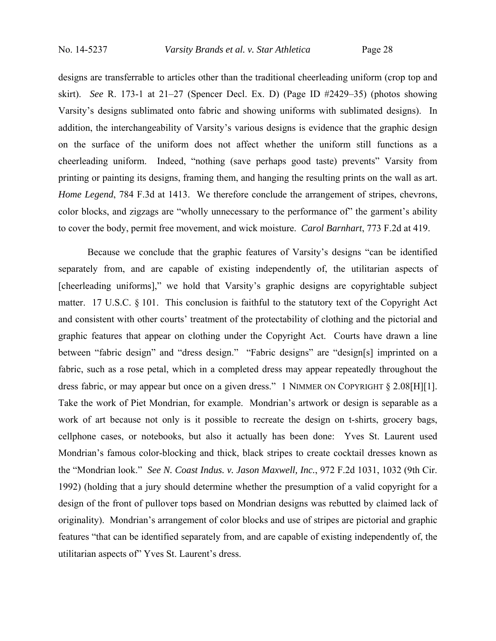designs are transferrable to articles other than the traditional cheerleading uniform (crop top and skirt). *See* R. 173-1 at 21–27 (Spencer Decl. Ex. D) (Page ID #2429–35) (photos showing Varsity's designs sublimated onto fabric and showing uniforms with sublimated designs). In addition, the interchangeability of Varsity's various designs is evidence that the graphic design on the surface of the uniform does not affect whether the uniform still functions as a cheerleading uniform. Indeed, "nothing (save perhaps good taste) prevents" Varsity from printing or painting its designs, framing them, and hanging the resulting prints on the wall as art. *Home Legend*, 784 F.3d at 1413. We therefore conclude the arrangement of stripes, chevrons, color blocks, and zigzags are "wholly unnecessary to the performance of" the garment's ability to cover the body, permit free movement, and wick moisture. *Carol Barnhart*, 773 F.2d at 419.

Because we conclude that the graphic features of Varsity's designs "can be identified separately from, and are capable of existing independently of, the utilitarian aspects of [cheerleading uniforms]," we hold that Varsity's graphic designs are copyrightable subject matter. 17 U.S.C. § 101. This conclusion is faithful to the statutory text of the Copyright Act and consistent with other courts' treatment of the protectability of clothing and the pictorial and graphic features that appear on clothing under the Copyright Act. Courts have drawn a line between "fabric design" and "dress design." "Fabric designs" are "design[s] imprinted on a fabric, such as a rose petal, which in a completed dress may appear repeatedly throughout the dress fabric, or may appear but once on a given dress." 1 NIMMER ON COPYRIGHT § 2.08[H][1]. Take the work of Piet Mondrian, for example. Mondrian's artwork or design is separable as a work of art because not only is it possible to recreate the design on t-shirts, grocery bags, cellphone cases, or notebooks, but also it actually has been done: Yves St. Laurent used Mondrian's famous color-blocking and thick, black stripes to create cocktail dresses known as the "Mondrian look." *See N. Coast Indus. v. Jason Maxwell, Inc.*, 972 F.2d 1031, 1032 (9th Cir. 1992) (holding that a jury should determine whether the presumption of a valid copyright for a design of the front of pullover tops based on Mondrian designs was rebutted by claimed lack of originality). Mondrian's arrangement of color blocks and use of stripes are pictorial and graphic features "that can be identified separately from, and are capable of existing independently of, the utilitarian aspects of" Yves St. Laurent's dress.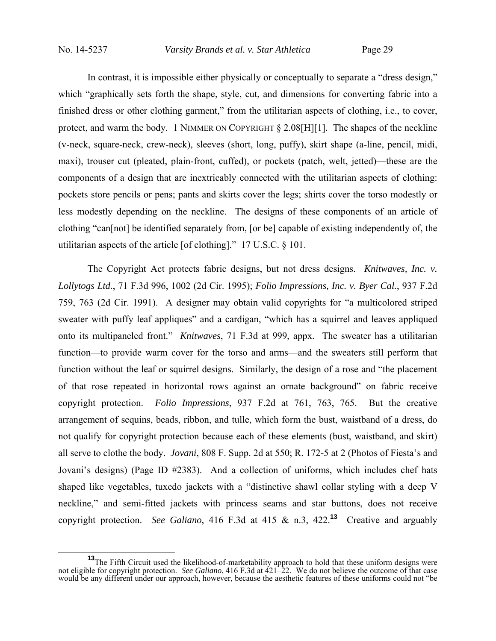In contrast, it is impossible either physically or conceptually to separate a "dress design," which "graphically sets forth the shape, style, cut, and dimensions for converting fabric into a finished dress or other clothing garment," from the utilitarian aspects of clothing, i.e., to cover, protect, and warm the body. 1 NIMMER ON COPYRIGHT § 2.08[H][1]*.* The shapes of the neckline (v-neck, square-neck, crew-neck), sleeves (short, long, puffy), skirt shape (a-line, pencil, midi, maxi), trouser cut (pleated, plain-front, cuffed), or pockets (patch, welt, jetted)—these are the components of a design that are inextricably connected with the utilitarian aspects of clothing: pockets store pencils or pens; pants and skirts cover the legs; shirts cover the torso modestly or less modestly depending on the neckline. The designs of these components of an article of clothing "can[not] be identified separately from, [or be] capable of existing independently of, the utilitarian aspects of the article [of clothing]." 17 U.S.C. § 101.

The Copyright Act protects fabric designs, but not dress designs. *Knitwaves, Inc. v. Lollytogs Ltd.*, 71 F.3d 996, 1002 (2d Cir. 1995); *Folio Impressions, Inc. v. Byer Cal.*, 937 F.2d 759, 763 (2d Cir. 1991). A designer may obtain valid copyrights for "a multicolored striped sweater with puffy leaf appliques" and a cardigan, "which has a squirrel and leaves appliqued onto its multipaneled front." *Knitwaves*, 71 F.3d at 999, appx. The sweater has a utilitarian function—to provide warm cover for the torso and arms—and the sweaters still perform that function without the leaf or squirrel designs. Similarly, the design of a rose and "the placement of that rose repeated in horizontal rows against an ornate background" on fabric receive copyright protection. *Folio Impressions*, 937 F.2d at 761, 763, 765. But the creative arrangement of sequins, beads, ribbon, and tulle, which form the bust, waistband of a dress, do not qualify for copyright protection because each of these elements (bust, waistband, and skirt) all serve to clothe the body. *Jovani*, 808 F. Supp. 2d at 550; R. 172-5 at 2 (Photos of Fiesta's and Jovani's designs) (Page ID #2383). And a collection of uniforms, which includes chef hats shaped like vegetables, tuxedo jackets with a "distinctive shawl collar styling with a deep V neckline," and semi-fitted jackets with princess seams and star buttons, does not receive copyright protection. *See Galiano*, 416 F.3d at 415 & n.3, 422.**<sup>13</sup>** Creative and arguably

**<sup>13</sup>**The Fifth Circuit used the likelihood-of-marketability approach to hold that these uniform designs were not eligible for copyright protection. *See Galiano*, 416 F.3d at 421–22. We do not believe the outcome of that case would be any different under our approach, however, because the aesthetic features of these uniforms could not "be"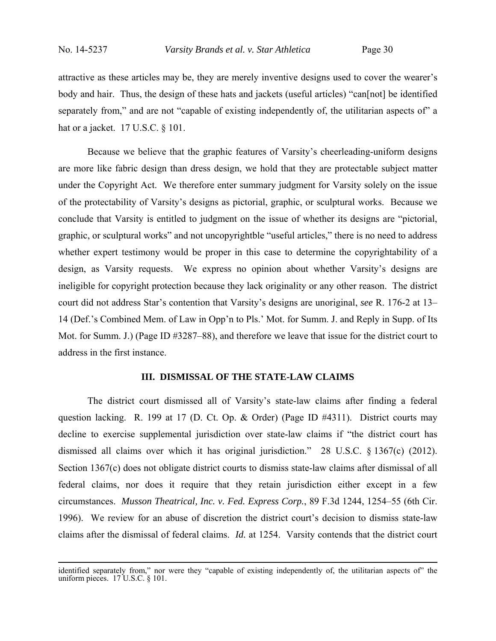attractive as these articles may be, they are merely inventive designs used to cover the wearer's body and hair. Thus, the design of these hats and jackets (useful articles) "canfull be identified separately from," and are not "capable of existing independently of, the utilitarian aspects of" a hat or a jacket. 17 U.S.C. § 101.

Because we believe that the graphic features of Varsity's cheerleading-uniform designs are more like fabric design than dress design, we hold that they are protectable subject matter under the Copyright Act. We therefore enter summary judgment for Varsity solely on the issue of the protectability of Varsity's designs as pictorial, graphic, or sculptural works. Because we conclude that Varsity is entitled to judgment on the issue of whether its designs are "pictorial, graphic, or sculptural works" and not uncopyrightble "useful articles," there is no need to address whether expert testimony would be proper in this case to determine the copyrightability of a design, as Varsity requests. We express no opinion about whether Varsity's designs are ineligible for copyright protection because they lack originality or any other reason. The district court did not address Star's contention that Varsity's designs are unoriginal, *see* R. 176-2 at 13– 14 (Def.'s Combined Mem. of Law in Opp'n to Pls.' Mot. for Summ. J. and Reply in Supp. of Its Mot. for Summ. J.) (Page ID #3287–88), and therefore we leave that issue for the district court to address in the first instance.

#### **III. DISMISSAL OF THE STATE-LAW CLAIMS**

 The district court dismissed all of Varsity's state-law claims after finding a federal question lacking. R. 199 at 17 (D. Ct. Op. & Order) (Page ID #4311). District courts may decline to exercise supplemental jurisdiction over state-law claims if "the district court has dismissed all claims over which it has original jurisdiction." 28 U.S.C. § 1367(c) (2012). Section 1367(c) does not obligate district courts to dismiss state-law claims after dismissal of all federal claims, nor does it require that they retain jurisdiction either except in a few circumstances. *Musson Theatrical, Inc. v. Fed. Express Corp.*, 89 F.3d 1244, 1254–55 (6th Cir. 1996). We review for an abuse of discretion the district court's decision to dismiss state-law claims after the dismissal of federal claims. *Id.* at 1254. Varsity contends that the district court

identified separately from," nor were they "capable of existing independently of, the utilitarian aspects of" the uniform pieces. 17 U.S.C. § 101.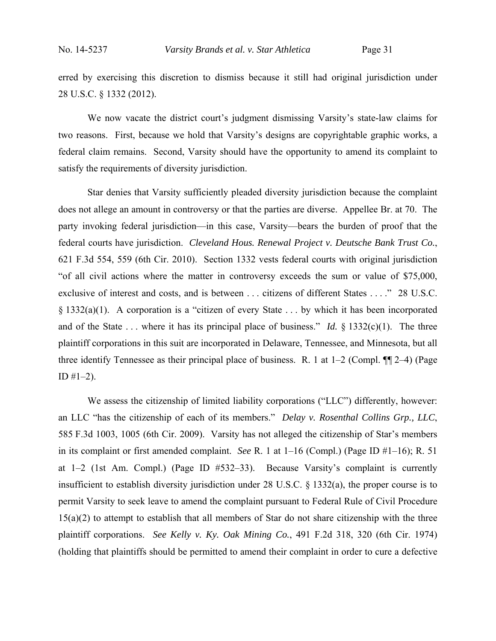erred by exercising this discretion to dismiss because it still had original jurisdiction under 28 U.S.C. § 1332 (2012).

 We now vacate the district court's judgment dismissing Varsity's state-law claims for two reasons. First, because we hold that Varsity's designs are copyrightable graphic works, a federal claim remains. Second, Varsity should have the opportunity to amend its complaint to satisfy the requirements of diversity jurisdiction.

Star denies that Varsity sufficiently pleaded diversity jurisdiction because the complaint does not allege an amount in controversy or that the parties are diverse. Appellee Br. at 70. The party invoking federal jurisdiction—in this case, Varsity—bears the burden of proof that the federal courts have jurisdiction. *Cleveland Hous. Renewal Project v. Deutsche Bank Trust Co.*, 621 F.3d 554, 559 (6th Cir. 2010). Section 1332 vests federal courts with original jurisdiction "of all civil actions where the matter in controversy exceeds the sum or value of \$75,000, exclusive of interest and costs, and is between . . . citizens of different States . . . ." 28 U.S.C. § 1332(a)(1). A corporation is a "citizen of every State . . . by which it has been incorporated and of the State  $\ldots$  where it has its principal place of business." *Id.* § 1332(c)(1). The three plaintiff corporations in this suit are incorporated in Delaware, Tennessee, and Minnesota, but all three identify Tennessee as their principal place of business. R. 1 at  $1-2$  (Compl.  $\P$ [2–4) (Page ID  $#1-2$ ).

We assess the citizenship of limited liability corporations ("LLC") differently, however: an LLC "has the citizenship of each of its members." *Delay v. Rosenthal Collins Grp., LLC*, 585 F.3d 1003, 1005 (6th Cir. 2009). Varsity has not alleged the citizenship of Star's members in its complaint or first amended complaint. *See* R. 1 at 1–16 (Compl.) (Page ID #1–16); R. 51 at 1–2 (1st Am. Compl.) (Page ID #532–33). Because Varsity's complaint is currently insufficient to establish diversity jurisdiction under 28 U.S.C. § 1332(a), the proper course is to permit Varsity to seek leave to amend the complaint pursuant to Federal Rule of Civil Procedure 15(a)(2) to attempt to establish that all members of Star do not share citizenship with the three plaintiff corporations. *See Kelly v. Ky. Oak Mining Co.*, 491 F.2d 318, 320 (6th Cir. 1974) (holding that plaintiffs should be permitted to amend their complaint in order to cure a defective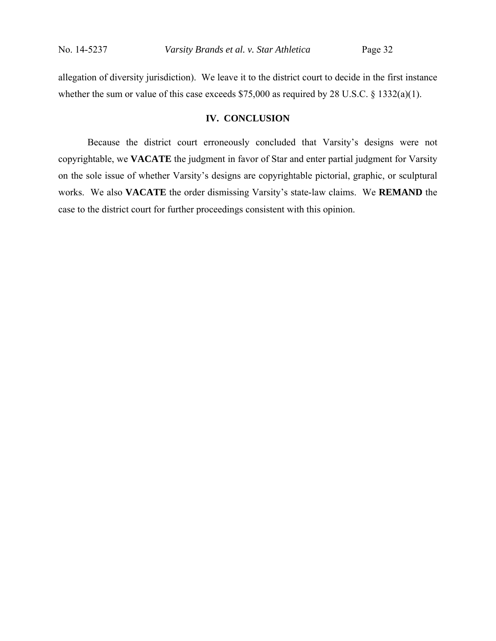allegation of diversity jurisdiction). We leave it to the district court to decide in the first instance whether the sum or value of this case exceeds \$75,000 as required by 28 U.S.C. § 1332(a)(1).

### **IV. CONCLUSION**

 Because the district court erroneously concluded that Varsity's designs were not copyrightable, we **VACATE** the judgment in favor of Star and enter partial judgment for Varsity on the sole issue of whether Varsity's designs are copyrightable pictorial, graphic, or sculptural works. We also **VACATE** the order dismissing Varsity's state-law claims. We **REMAND** the case to the district court for further proceedings consistent with this opinion.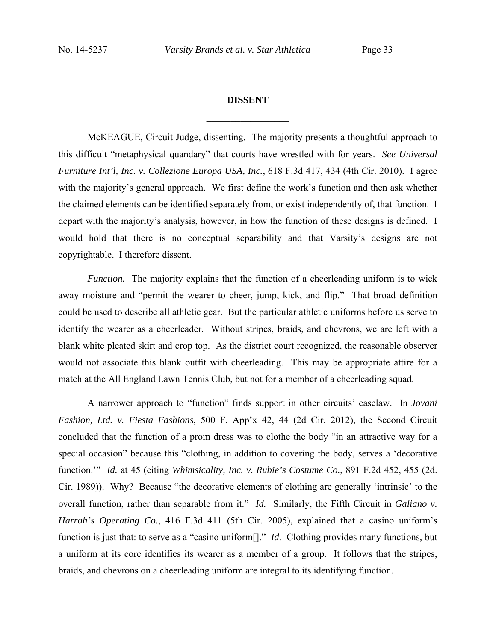# **DISSENT**  $\frac{1}{2}$

 $\frac{1}{2}$ 

McKEAGUE, Circuit Judge, dissenting.The majority presents a thoughtful approach to this difficult "metaphysical quandary" that courts have wrestled with for years. *See Universal Furniture Int'l, Inc. v. Collezione Europa USA, Inc.*, 618 F.3d 417, 434 (4th Cir. 2010). I agree with the majority's general approach. We first define the work's function and then ask whether the claimed elements can be identified separately from, or exist independently of, that function. I depart with the majority's analysis, however, in how the function of these designs is defined. I would hold that there is no conceptual separability and that Varsity's designs are not copyrightable. I therefore dissent.

*Function.* The majority explains that the function of a cheerleading uniform is to wick away moisture and "permit the wearer to cheer, jump, kick, and flip." That broad definition could be used to describe all athletic gear. But the particular athletic uniforms before us serve to identify the wearer as a cheerleader. Without stripes, braids, and chevrons, we are left with a blank white pleated skirt and crop top. As the district court recognized, the reasonable observer would not associate this blank outfit with cheerleading. This may be appropriate attire for a match at the All England Lawn Tennis Club, but not for a member of a cheerleading squad.

A narrower approach to "function" finds support in other circuits' caselaw. In *Jovani Fashion, Ltd. v. Fiesta Fashions*, 500 F. App'x 42, 44 (2d Cir. 2012), the Second Circuit concluded that the function of a prom dress was to clothe the body "in an attractive way for a special occasion" because this "clothing, in addition to covering the body, serves a 'decorative function.'" *Id.* at 45 (citing *Whimsicality, Inc. v. Rubie's Costume Co.*, 891 F.2d 452, 455 (2d. Cir. 1989)). Why? Because "the decorative elements of clothing are generally 'intrinsic' to the overall function, rather than separable from it." *Id.* Similarly, the Fifth Circuit in *Galiano v. Harrah's Operating Co.*, 416 F.3d 411 (5th Cir. 2005), explained that a casino uniform's function is just that: to serve as a "casino uniform[]." *Id*. Clothing provides many functions, but a uniform at its core identifies its wearer as a member of a group. It follows that the stripes, braids, and chevrons on a cheerleading uniform are integral to its identifying function.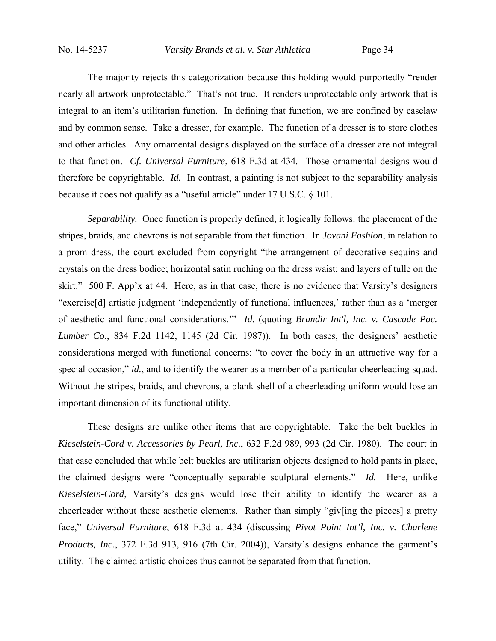The majority rejects this categorization because this holding would purportedly "render nearly all artwork unprotectable." That's not true. It renders unprotectable only artwork that is integral to an item's utilitarian function. In defining that function, we are confined by caselaw and by common sense. Take a dresser, for example. The function of a dresser is to store clothes and other articles. Any ornamental designs displayed on the surface of a dresser are not integral to that function. *Cf. Universal Furniture*, 618 F.3d at 434*.* Those ornamental designs would therefore be copyrightable. *Id.* In contrast, a painting is not subject to the separability analysis because it does not qualify as a "useful article" under 17 U.S.C. § 101.

*Separability.* Once function is properly defined, it logically follows: the placement of the stripes, braids, and chevrons is not separable from that function. In *Jovani Fashion*, in relation to a prom dress, the court excluded from copyright "the arrangement of decorative sequins and crystals on the dress bodice; horizontal satin ruching on the dress waist; and layers of tulle on the skirt." 500 F. App'x at 44. Here, as in that case, there is no evidence that Varsity's designers "exercise[d] artistic judgment 'independently of functional influences,' rather than as a 'merger of aesthetic and functional considerations.'" *Id.* (quoting *Brandir Int'l, Inc. v. Cascade Pac. Lumber Co.*, 834 F.2d 1142, 1145 (2d Cir. 1987)). In both cases, the designers' aesthetic considerations merged with functional concerns: "to cover the body in an attractive way for a special occasion," *id.*, and to identify the wearer as a member of a particular cheerleading squad. Without the stripes, braids, and chevrons, a blank shell of a cheerleading uniform would lose an important dimension of its functional utility.

These designs are unlike other items that are copyrightable. Take the belt buckles in *Kieselstein-Cord v. Accessories by Pearl, Inc.*, 632 F.2d 989, 993 (2d Cir. 1980). The court in that case concluded that while belt buckles are utilitarian objects designed to hold pants in place, the claimed designs were "conceptually separable sculptural elements." *Id.* Here, unlike *Kieselstein-Cord*, Varsity's designs would lose their ability to identify the wearer as a cheerleader without these aesthetic elements. Rather than simply "giv[ing the pieces] a pretty face," *Universal Furniture*, 618 F.3d at 434 (discussing *Pivot Point Int'l, Inc. v. Charlene Products, Inc.*, 372 F.3d 913, 916 (7th Cir. 2004)), Varsity's designs enhance the garment's utility. The claimed artistic choices thus cannot be separated from that function.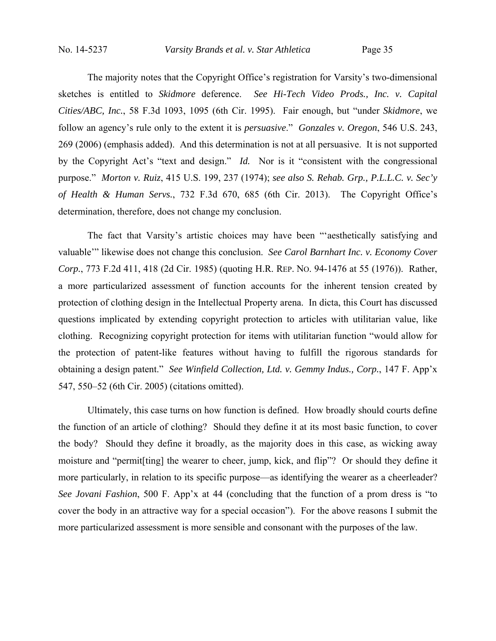The majority notes that the Copyright Office's registration for Varsity's two-dimensional sketches is entitled to *Skidmore* deference. *See Hi-Tech Video Prods., Inc. v. Capital Cities/ABC, Inc.*, 58 F.3d 1093, 1095 (6th Cir. 1995). Fair enough, but "under *Skidmore*, we follow an agency's rule only to the extent it is *persuasive*." *Gonzales v. Oregon*, 546 U.S. 243, 269 (2006) (emphasis added). And this determination is not at all persuasive. It is not supported by the Copyright Act's "text and design." *Id.* Nor is it "consistent with the congressional purpose." *Morton v. Ruiz*, 415 U.S. 199, 237 (1974); *see also S. Rehab. Grp., P.L.L.C. v. Sec'y of Health & Human Servs.*, 732 F.3d 670, 685 (6th Cir. 2013). The Copyright Office's determination, therefore, does not change my conclusion.

The fact that Varsity's artistic choices may have been "'aesthetically satisfying and valuable'" likewise does not change this conclusion. *See Carol Barnhart Inc. v. Economy Cover Corp.*, 773 F.2d 411, 418 (2d Cir. 1985) (quoting H.R. REP. NO. 94-1476 at 55 (1976)). Rather, a more particularized assessment of function accounts for the inherent tension created by protection of clothing design in the Intellectual Property arena. In dicta, this Court has discussed questions implicated by extending copyright protection to articles with utilitarian value, like clothing. Recognizing copyright protection for items with utilitarian function "would allow for the protection of patent-like features without having to fulfill the rigorous standards for obtaining a design patent." *See Winfield Collection, Ltd. v. Gemmy Indus., Corp.*, 147 F. App'x 547, 550–52 (6th Cir. 2005) (citations omitted).

Ultimately, this case turns on how function is defined. How broadly should courts define the function of an article of clothing? Should they define it at its most basic function, to cover the body? Should they define it broadly, as the majority does in this case, as wicking away moisture and "permit[ting] the wearer to cheer, jump, kick, and flip"? Or should they define it more particularly, in relation to its specific purpose—as identifying the wearer as a cheerleader? *See Jovani Fashion*, 500 F. App'x at 44 (concluding that the function of a prom dress is "to cover the body in an attractive way for a special occasion"). For the above reasons I submit the more particularized assessment is more sensible and consonant with the purposes of the law.